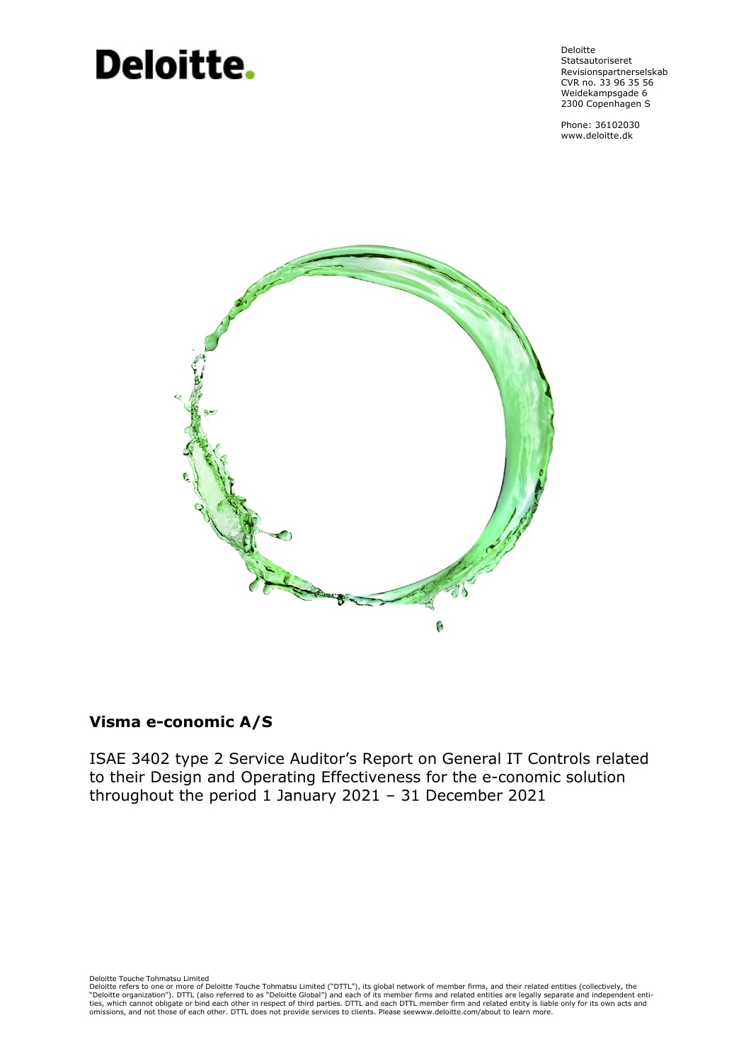# Deloitte.

Deloitte **Statsautoriseret** Revisionspartnerselskab CVR no. 33 96 35 56 Weidekampsgade 6 2300 Copenhagen S

Phone: 36102030 www.deloitte.dk



# **Visma e-conomic A/S**

ISAE 3402 type 2 Service Auditor's Report on General IT Controls related to their Design and Operating Effectiveness for the e-conomic solution throughout the period 1 January 2021 – 31 December 2021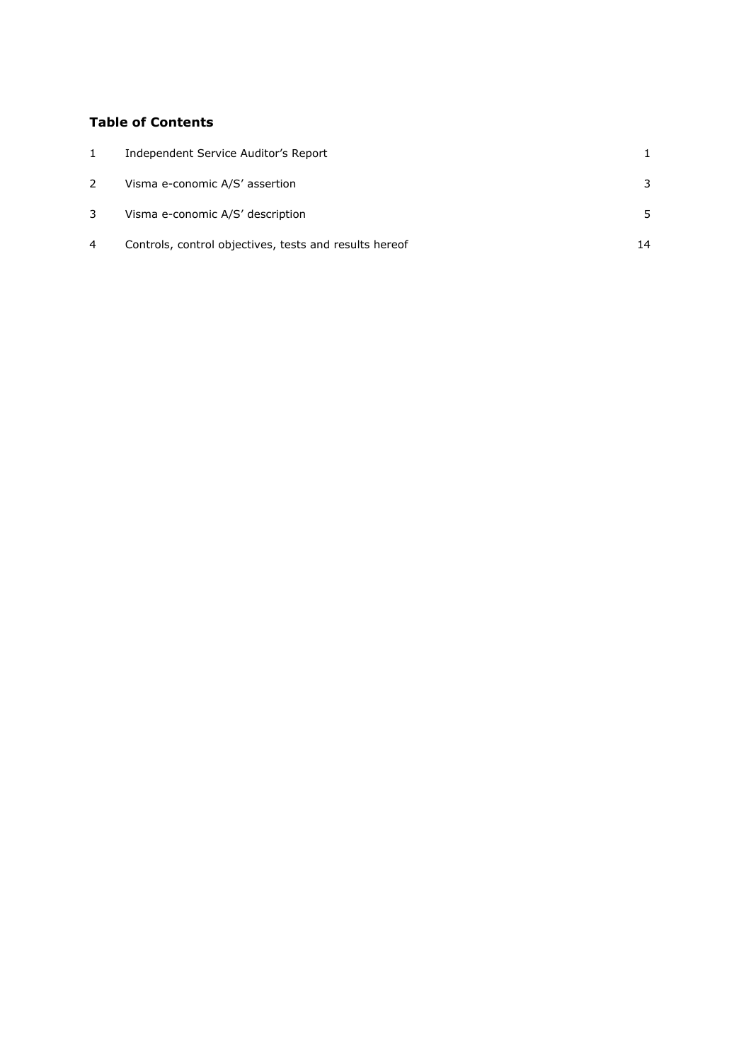# **Table of Contents**

|                | Independent Service Auditor's Report                   |    |
|----------------|--------------------------------------------------------|----|
|                | Visma e-conomic A/S' assertion                         | 3  |
| 3              | Visma e-conomic A/S' description                       |    |
| $\overline{4}$ | Controls, control objectives, tests and results hereof | 14 |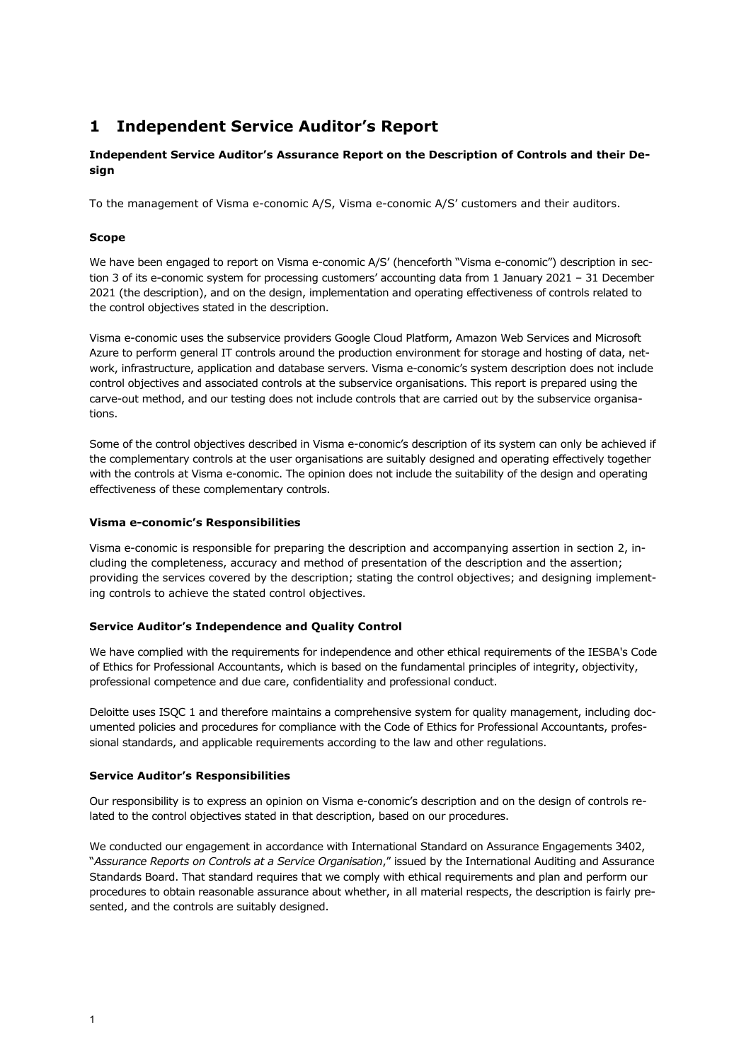# <span id="page-2-0"></span>**1 Independent Service Auditor's Report**

## **Independent Service Auditor's Assurance Report on the Description of Controls and their Design**

To the management of Visma e-conomic A/S, Visma e-conomic A/S' customers and their auditors.

## **Scope**

We have been engaged to report on Visma e-conomic A/S' (henceforth "Visma e-conomic") description in section 3 of its e-conomic system for processing customers' accounting data from 1 January 2021 – 31 December 2021 (the description), and on the design, implementation and operating effectiveness of controls related to the control objectives stated in the description.

Visma e-conomic uses the subservice providers Google Cloud Platform, Amazon Web Services and Microsoft Azure to perform general IT controls around the production environment for storage and hosting of data, network, infrastructure, application and database servers. Visma e-conomic's system description does not include control objectives and associated controls at the subservice organisations. This report is prepared using the carve-out method, and our testing does not include controls that are carried out by the subservice organisations.

Some of the control objectives described in Visma e-conomic's description of its system can only be achieved if the complementary controls at the user organisations are suitably designed and operating effectively together with the controls at Visma e-conomic. The opinion does not include the suitability of the design and operating effectiveness of these complementary controls.

#### **Visma e-conomic's Responsibilities**

Visma e-conomic is responsible for preparing the description and accompanying assertion in section 2, including the completeness, accuracy and method of presentation of the description and the assertion; providing the services covered by the description; stating the control objectives; and designing implementing controls to achieve the stated control objectives.

## **Service Auditor's Independence and Quality Control**

We have complied with the requirements for independence and other ethical requirements of the IESBA's Code of Ethics for Professional Accountants, which is based on the fundamental principles of integrity, objectivity, professional competence and due care, confidentiality and professional conduct.

Deloitte uses ISQC 1 and therefore maintains a comprehensive system for quality management, including documented policies and procedures for compliance with the Code of Ethics for Professional Accountants, professional standards, and applicable requirements according to the law and other regulations.

#### **Service Auditor's Responsibilities**

Our responsibility is to express an opinion on Visma e-conomic's description and on the design of controls related to the control objectives stated in that description, based on our procedures.

We conducted our engagement in accordance with International Standard on Assurance Engagements 3402, "*Assurance Reports on Controls at a Service Organisation*," issued by the International Auditing and Assurance Standards Board. That standard requires that we comply with ethical requirements and plan and perform our procedures to obtain reasonable assurance about whether, in all material respects, the description is fairly presented, and the controls are suitably designed.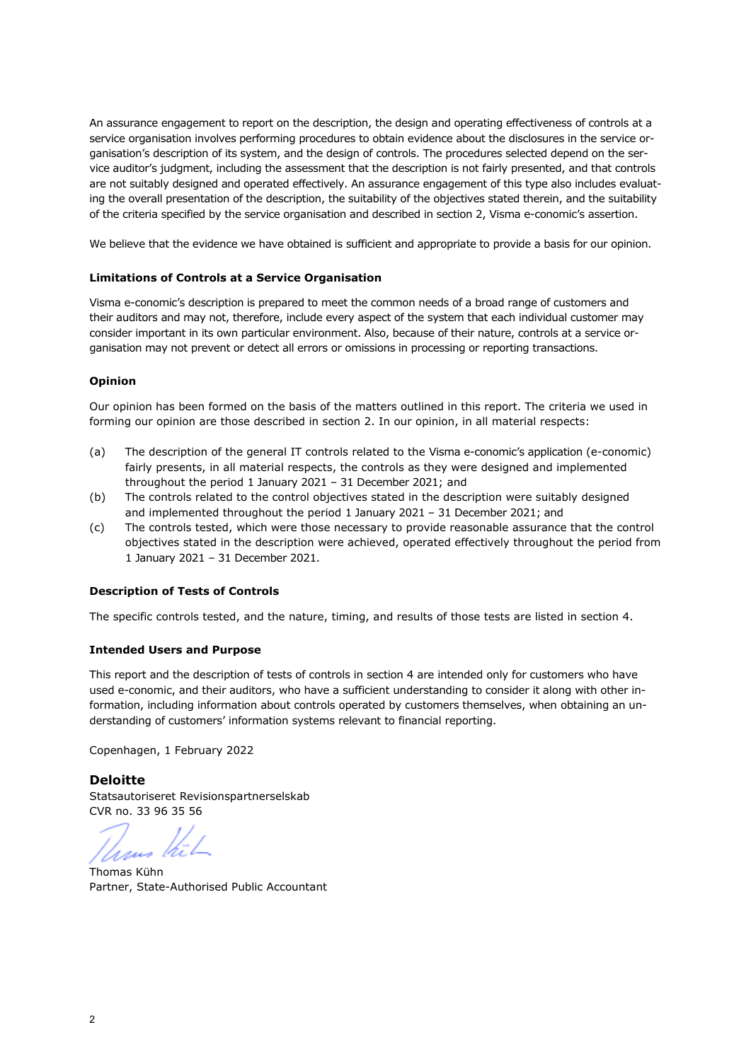An assurance engagement to report on the description, the design and operating effectiveness of controls at a service organisation involves performing procedures to obtain evidence about the disclosures in the service organisation's description of its system, and the design of controls. The procedures selected depend on the service auditor's judgment, including the assessment that the description is not fairly presented, and that controls are not suitably designed and operated effectively. An assurance engagement of this type also includes evaluating the overall presentation of the description, the suitability of the objectives stated therein, and the suitability of the criteria specified by the service organisation and described in section 2, Visma e-conomic's assertion.

We believe that the evidence we have obtained is sufficient and appropriate to provide a basis for our opinion.

#### **Limitations of Controls at a Service Organisation**

Visma e-conomic's description is prepared to meet the common needs of a broad range of customers and their auditors and may not, therefore, include every aspect of the system that each individual customer may consider important in its own particular environment. Also, because of their nature, controls at a service organisation may not prevent or detect all errors or omissions in processing or reporting transactions.

#### **Opinion**

Our opinion has been formed on the basis of the matters outlined in this report. The criteria we used in forming our opinion are those described in section 2. In our opinion, in all material respects:

- (a) The description of the general IT controls related to the Visma e-conomic's application (e-conomic) fairly presents, in all material respects, the controls as they were designed and implemented throughout the period 1 January 2021 – 31 December 2021; and
- (b) The controls related to the control objectives stated in the description were suitably designed and implemented throughout the period 1 January 2021 – 31 December 2021; and
- (c) The controls tested, which were those necessary to provide reasonable assurance that the control objectives stated in the description were achieved, operated effectively throughout the period from 1 January 2021 – 31 December 2021.

## **Description of Tests of Controls**

The specific controls tested, and the nature, timing, and results of those tests are listed in section 4.

#### **Intended Users and Purpose**

This report and the description of tests of controls in section 4 are intended only for customers who have used e-conomic, and their auditors, who have a sufficient understanding to consider it along with other information, including information about controls operated by customers themselves, when obtaining an understanding of customers' information systems relevant to financial reporting.

Copenhagen, 1 February 2022

## **Deloitte**

Statsautoriseret Revisionspartnerselskab CVR no. 33 96 35 56

raus

Thomas Kühn Partner, State-Authorised Public Accountant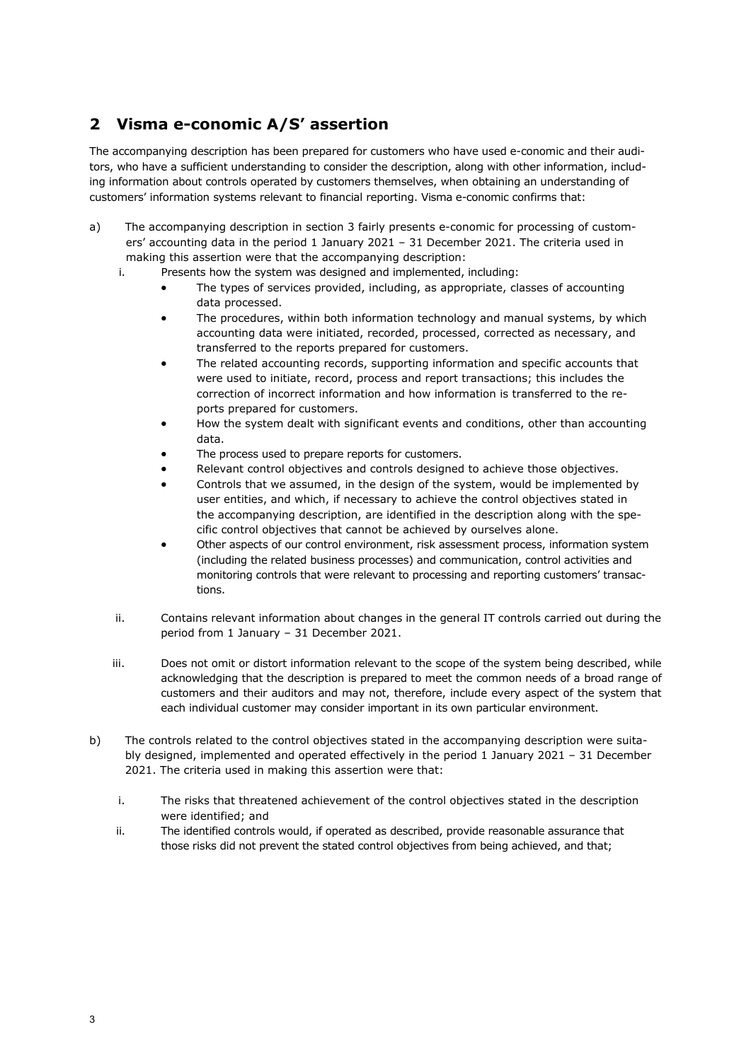# <span id="page-4-0"></span>**2 Visma e-conomic A/S' assertion**

The accompanying description has been prepared for customers who have used e-conomic and their auditors, who have a sufficient understanding to consider the description, along with other information, including information about controls operated by customers themselves, when obtaining an understanding of customers' information systems relevant to financial reporting. Visma e-conomic confirms that:

- a) The accompanying description in section 3 fairly presents e-conomic for processing of customers' accounting data in the period 1 January 2021 – 31 December 2021. The criteria used in making this assertion were that the accompanying description:
	- i. Presents how the system was designed and implemented, including:
		- The types of services provided, including, as appropriate, classes of accounting data processed.
		- The procedures, within both information technology and manual systems, by which accounting data were initiated, recorded, processed, corrected as necessary, and transferred to the reports prepared for customers.
		- The related accounting records, supporting information and specific accounts that were used to initiate, record, process and report transactions; this includes the correction of incorrect information and how information is transferred to the reports prepared for customers.
		- How the system dealt with significant events and conditions, other than accounting data.
		- The process used to prepare reports for customers.
		- Relevant control objectives and controls designed to achieve those objectives.
		- Controls that we assumed, in the design of the system, would be implemented by user entities, and which, if necessary to achieve the control objectives stated in the accompanying description, are identified in the description along with the specific control objectives that cannot be achieved by ourselves alone.
		- Other aspects of our control environment, risk assessment process, information system (including the related business processes) and communication, control activities and monitoring controls that were relevant to processing and reporting customers' transactions.
	- ii. Contains relevant information about changes in the general IT controls carried out during the period from 1 January – 31 December 2021.
	- iii. Does not omit or distort information relevant to the scope of the system being described, while acknowledging that the description is prepared to meet the common needs of a broad range of customers and their auditors and may not, therefore, include every aspect of the system that each individual customer may consider important in its own particular environment.
- b) The controls related to the control objectives stated in the accompanying description were suitably designed, implemented and operated effectively in the period 1 January 2021 – 31 December 2021. The criteria used in making this assertion were that:
	- i. The risks that threatened achievement of the control objectives stated in the description were identified; and
	- ii. The identified controls would, if operated as described, provide reasonable assurance that those risks did not prevent the stated control objectives from being achieved, and that;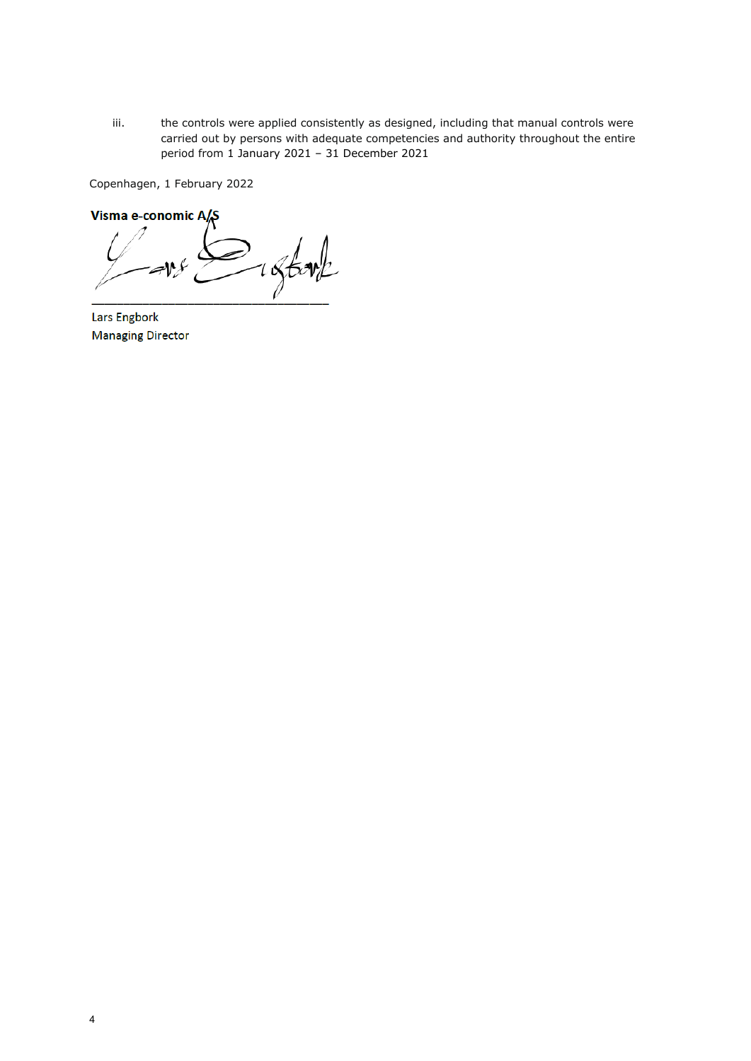iii. the controls were applied consistently as designed, including that manual controls were carried out by persons with adequate competencies and authority throughout the entire period from 1 January 2021 – 31 December 2021

Copenhagen, 1 February 2022

**Visma e-conomic A/S** \_\_\_\_\_\_\_\_\_\_\_\_\_\_\_\_\_\_\_\_\_\_\_\_\_\_\_\_\_\_\_\_\_\_\_\_\_ Lars Engbork

Lars Engbork **Managing Director**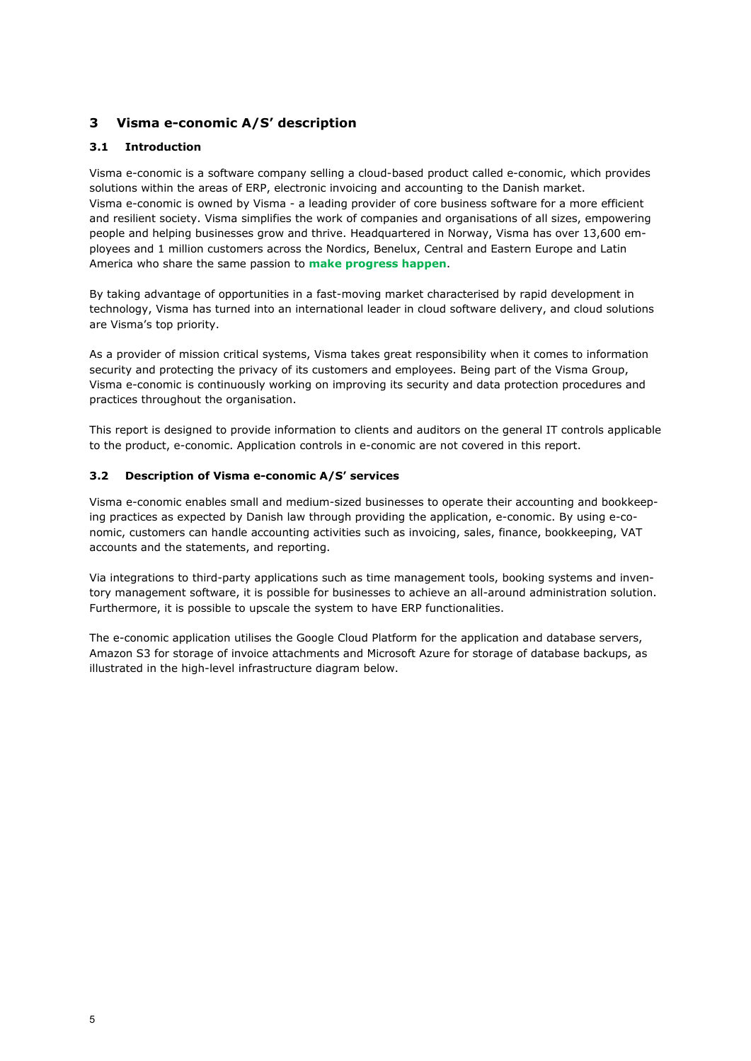# <span id="page-6-0"></span>**3 Visma e-conomic A/S' description**

## **3.1 Introduction**

Visma e-conomic is a software company selling a cloud-based product called e-conomic, which provides solutions within the areas of ERP, electronic invoicing and accounting to the Danish market. Visma e-conomic is owned by Visma - a leading provider of core business software for a more efficient and resilient society. Visma simplifies the work of companies and organisations of all sizes, empowering people and helping businesses grow and thrive. Headquartered in Norway, Visma has over 13,600 employees and 1 million customers across the Nordics, Benelux, Central and Eastern Europe and Latin America who share the same passion to **make progress happen**.

By taking advantage of opportunities in a fast-moving market characterised by rapid development in technology, Visma has turned into an international leader in cloud software delivery, and cloud solutions are Visma's top priority.

As a provider of mission critical systems, Visma takes great responsibility when it comes to information security and protecting the privacy of its customers and employees. Being part of the Visma Group, Visma e-conomic is continuously working on improving its security and data protection procedures and practices throughout the organisation.

This report is designed to provide information to clients and auditors on the general IT controls applicable to the product, e-conomic. Application controls in e-conomic are not covered in this report.

## **3.2 Description of Visma e-conomic A/S' services**

Visma e-conomic enables small and medium-sized businesses to operate their accounting and bookkeeping practices as expected by Danish law through providing the application, e-conomic. By using e-conomic, customers can handle accounting activities such as invoicing, sales, finance, bookkeeping, VAT accounts and the statements, and reporting.

Via integrations to third-party applications such as time management tools, booking systems and inventory management software, it is possible for businesses to achieve an all-around administration solution. Furthermore, it is possible to upscale the system to have ERP functionalities.

The e-conomic application utilises the Google Cloud Platform for the application and database servers, Amazon S3 for storage of invoice attachments and Microsoft Azure for storage of database backups, as illustrated in the high-level infrastructure diagram below.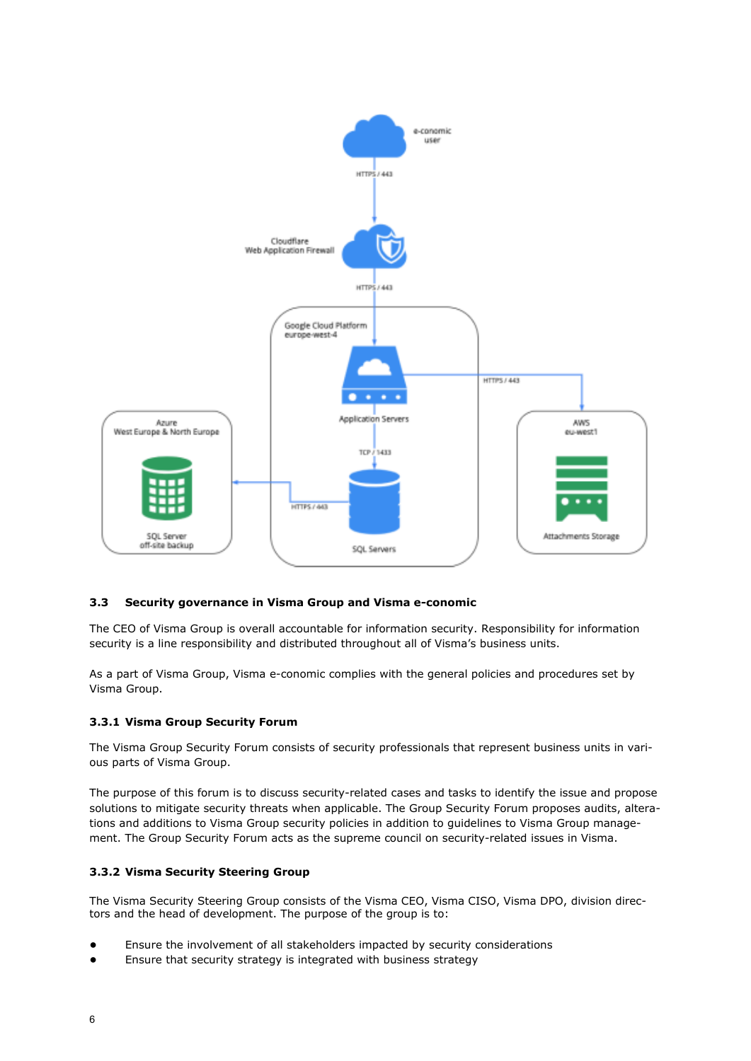

## **3.3 Security governance in Visma Group and Visma e-conomic**

The CEO of Visma Group is overall accountable for information security. Responsibility for information security is a line responsibility and distributed throughout all of Visma's business units.

As a part of Visma Group, Visma e-conomic complies with the general policies and procedures set by Visma Group.

## **3.3.1 Visma Group Security Forum**

The Visma Group Security Forum consists of security professionals that represent business units in various parts of Visma Group.

The purpose of this forum is to discuss security-related cases and tasks to identify the issue and propose solutions to mitigate security threats when applicable. The Group Security Forum proposes audits, alterations and additions to Visma Group security policies in addition to guidelines to Visma Group management. The Group Security Forum acts as the supreme council on security-related issues in Visma.

## **3.3.2 Visma Security Steering Group**

The Visma Security Steering Group consists of the Visma CEO, Visma CISO, Visma DPO, division directors and the head of development. The purpose of the group is to:

- Ensure the involvement of all stakeholders impacted by security considerations
- Ensure that security strategy is integrated with business strategy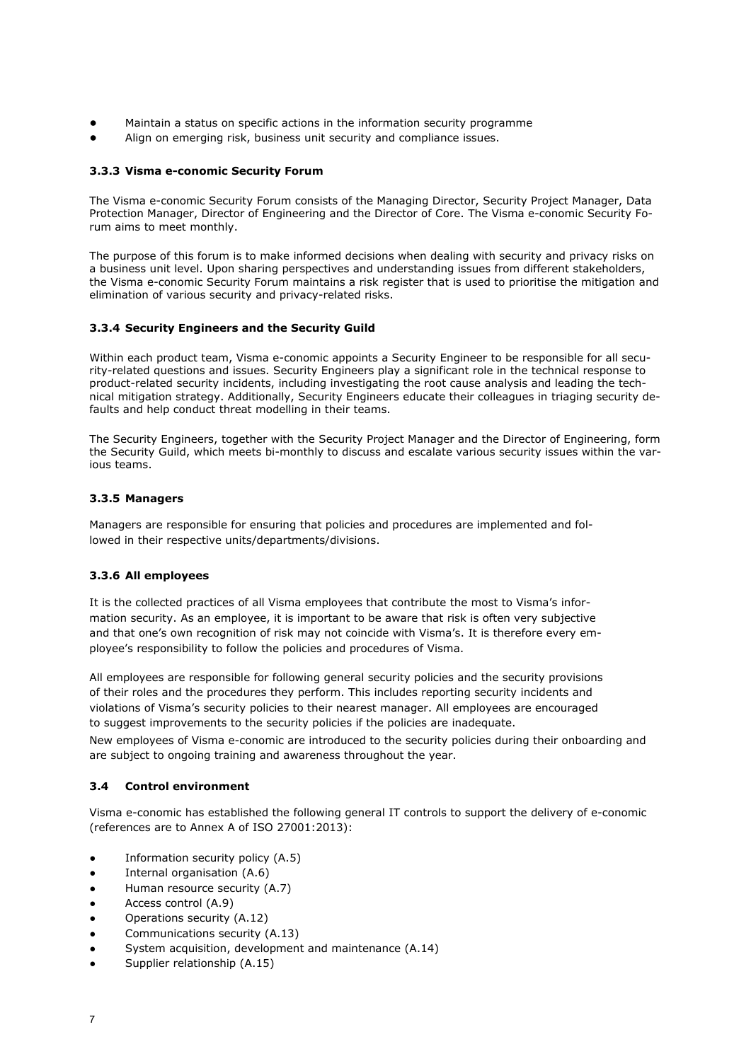- Maintain a status on specific actions in the information security programme
- Align on emerging risk, business unit security and compliance issues.

## **3.3.3 Visma e-conomic Security Forum**

The Visma e-conomic Security Forum consists of the Managing Director, Security Project Manager, Data Protection Manager, Director of Engineering and the Director of Core. The Visma e-conomic Security Forum aims to meet monthly.

The purpose of this forum is to make informed decisions when dealing with security and privacy risks on a business unit level. Upon sharing perspectives and understanding issues from different stakeholders, the Visma e-conomic Security Forum maintains a risk register that is used to prioritise the mitigation and elimination of various security and privacy-related risks.

## **3.3.4 Security Engineers and the Security Guild**

Within each product team, Visma e-conomic appoints a Security Engineer to be responsible for all security-related questions and issues. Security Engineers play a significant role in the technical response to product-related security incidents, including investigating the root cause analysis and leading the technical mitigation strategy. Additionally, Security Engineers educate their colleagues in triaging security defaults and help conduct threat modelling in their teams.

The Security Engineers, together with the Security Project Manager and the Director of Engineering, form the Security Guild, which meets bi-monthly to discuss and escalate various security issues within the various teams.

## **3.3.5 Managers**

Managers are responsible for ensuring that policies and procedures are implemented and followed in their respective units/departments/divisions.

## **3.3.6 All employees**

It is the collected practices of all Visma employees that contribute the most to Visma's information security. As an employee, it is important to be aware that risk is often very subjective and that one's own recognition of risk may not coincide with Visma's. It is therefore every employee's responsibility to follow the policies and procedures of Visma.

All employees are responsible for following general security policies and the security provisions of their roles and the procedures they perform. This includes reporting security incidents and violations of Visma's security policies to their nearest manager. All employees are encouraged to suggest improvements to the security policies if the policies are inadequate.

New employees of Visma e-conomic are introduced to the security policies during their onboarding and are subject to ongoing training and awareness throughout the year.

## **3.4 Control environment**

Visma e-conomic has established the following general IT controls to support the delivery of e-conomic (references are to Annex A of ISO 27001:2013):

- Information security policy (A.5)
- Internal organisation (A.6)
- Human resource security (A.7)
- Access control (A.9)
- Operations security (A.12)
- Communications security (A.13)
- System acquisition, development and maintenance (A.14)
- Supplier relationship (A.15)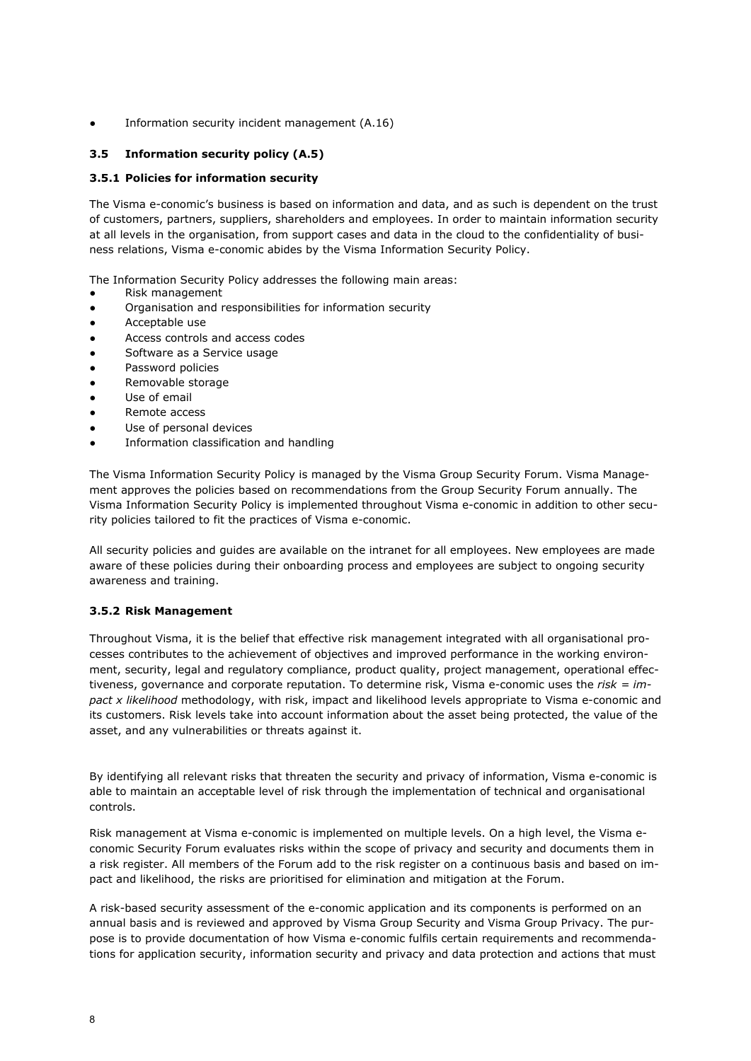Information security incident management (A.16)

## **3.5 Information security policy (A.5)**

## **3.5.1 Policies for information security**

The Visma e-conomic's business is based on information and data, and as such is dependent on the trust of customers, partners, suppliers, shareholders and employees. In order to maintain information security at all levels in the organisation, from support cases and data in the cloud to the confidentiality of business relations, Visma e-conomic abides by the Visma Information Security Policy.

The Information Security Policy addresses the following main areas:

- Risk management
- Organisation and responsibilities for information security
- Acceptable use
- Access controls and access codes
- Software as a Service usage
- Password policies
- Removable storage
- Use of email
- Remote access
- Use of personal devices
- Information classification and handling

The Visma Information Security Policy is managed by the Visma Group Security Forum. Visma Management approves the policies based on recommendations from the Group Security Forum annually. The Visma Information Security Policy is implemented throughout Visma e-conomic in addition to other security policies tailored to fit the practices of Visma e-conomic.

All security policies and guides are available on the intranet for all employees. New employees are made aware of these policies during their onboarding process and employees are subject to ongoing security awareness and training.

## **3.5.2 Risk Management**

Throughout Visma, it is the belief that effective risk management integrated with all organisational processes contributes to the achievement of objectives and improved performance in the working environment, security, legal and regulatory compliance, product quality, project management, operational effectiveness, governance and corporate reputation. To determine risk, Visma e-conomic uses the *risk = impact x likelihood* methodology, with risk, impact and likelihood levels appropriate to Visma e-conomic and its customers. Risk levels take into account information about the asset being protected, the value of the asset, and any vulnerabilities or threats against it.

By identifying all relevant risks that threaten the security and privacy of information, Visma e-conomic is able to maintain an acceptable level of risk through the implementation of technical and organisational controls.

Risk management at Visma e-conomic is implemented on multiple levels. On a high level, the Visma economic Security Forum evaluates risks within the scope of privacy and security and documents them in a risk register. All members of the Forum add to the risk register on a continuous basis and based on impact and likelihood, the risks are prioritised for elimination and mitigation at the Forum.

A risk-based security assessment of the e-conomic application and its components is performed on an annual basis and is reviewed and approved by Visma Group Security and Visma Group Privacy. The purpose is to provide documentation of how Visma e-conomic fulfils certain requirements and recommendations for application security, information security and privacy and data protection and actions that must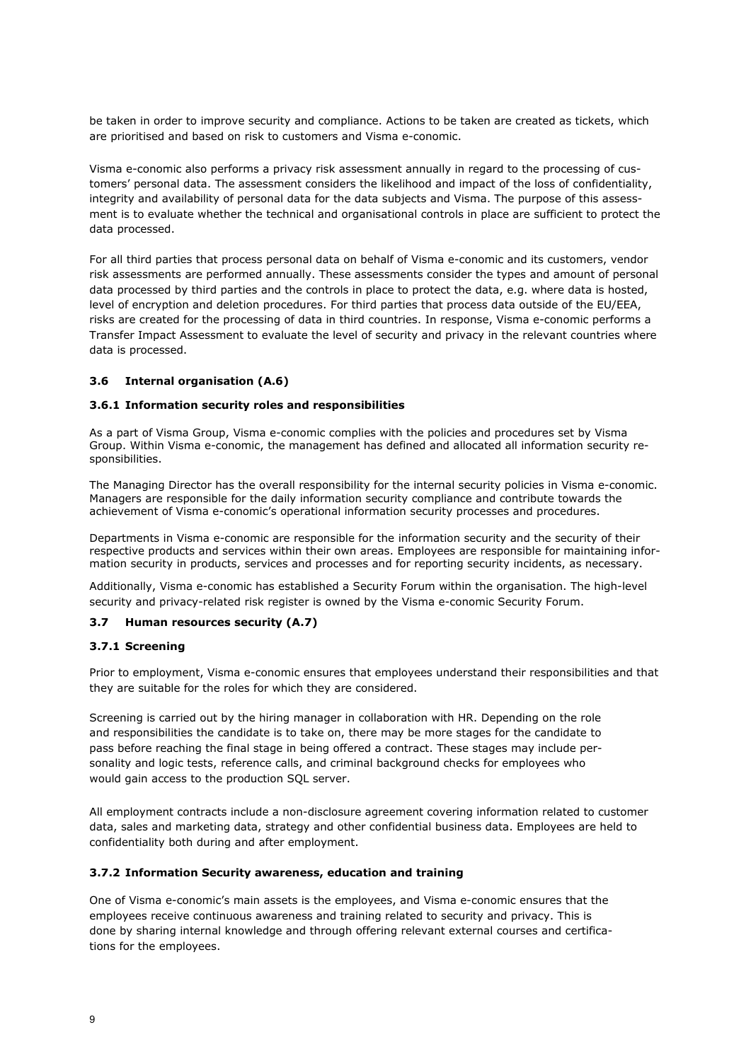be taken in order to improve security and compliance. Actions to be taken are created as tickets, which are prioritised and based on risk to customers and Visma e-conomic.

Visma e-conomic also performs a privacy risk assessment annually in regard to the processing of customers' personal data. The assessment considers the likelihood and impact of the loss of confidentiality, integrity and availability of personal data for the data subjects and Visma. The purpose of this assessment is to evaluate whether the technical and organisational controls in place are sufficient to protect the data processed.

For all third parties that process personal data on behalf of Visma e-conomic and its customers, vendor risk assessments are performed annually. These assessments consider the types and amount of personal data processed by third parties and the controls in place to protect the data, e.g. where data is hosted, level of encryption and deletion procedures. For third parties that process data outside of the EU/EEA, risks are created for the processing of data in third countries. In response, Visma e-conomic performs a Transfer Impact Assessment to evaluate the level of security and privacy in the relevant countries where data is processed.

#### **3.6 Internal organisation (A.6)**

#### **3.6.1 Information security roles and responsibilities**

As a part of Visma Group, Visma e-conomic complies with the policies and procedures set by Visma Group. Within Visma e-conomic, the management has defined and allocated all information security responsibilities.

The Managing Director has the overall responsibility for the internal security policies in Visma e-conomic. Managers are responsible for the daily information security compliance and contribute towards the achievement of Visma e-conomic's operational information security processes and procedures.

Departments in Visma e-conomic are responsible for the information security and the security of their respective products and services within their own areas. Employees are responsible for maintaining information security in products, services and processes and for reporting security incidents, as necessary.

Additionally, Visma e-conomic has established a Security Forum within the organisation. The high-level security and privacy-related risk register is owned by the Visma e-conomic Security Forum.

## **3.7 Human resources security (A.7)**

#### **3.7.1 Screening**

Prior to employment, Visma e-conomic ensures that employees understand their responsibilities and that they are suitable for the roles for which they are considered.

Screening is carried out by the hiring manager in collaboration with HR. Depending on the role and responsibilities the candidate is to take on, there may be more stages for the candidate to pass before reaching the final stage in being offered a contract. These stages may include personality and logic tests, reference calls, and criminal background checks for employees who would gain access to the production SQL server.

All employment contracts include a non-disclosure agreement covering information related to customer data, sales and marketing data, strategy and other confidential business data. Employees are held to confidentiality both during and after employment.

#### **3.7.2 Information Security awareness, education and training**

One of Visma e-conomic's main assets is the employees, and Visma e-conomic ensures that the employees receive continuous awareness and training related to security and privacy. This is done by sharing internal knowledge and through offering relevant external courses and certifications for the employees.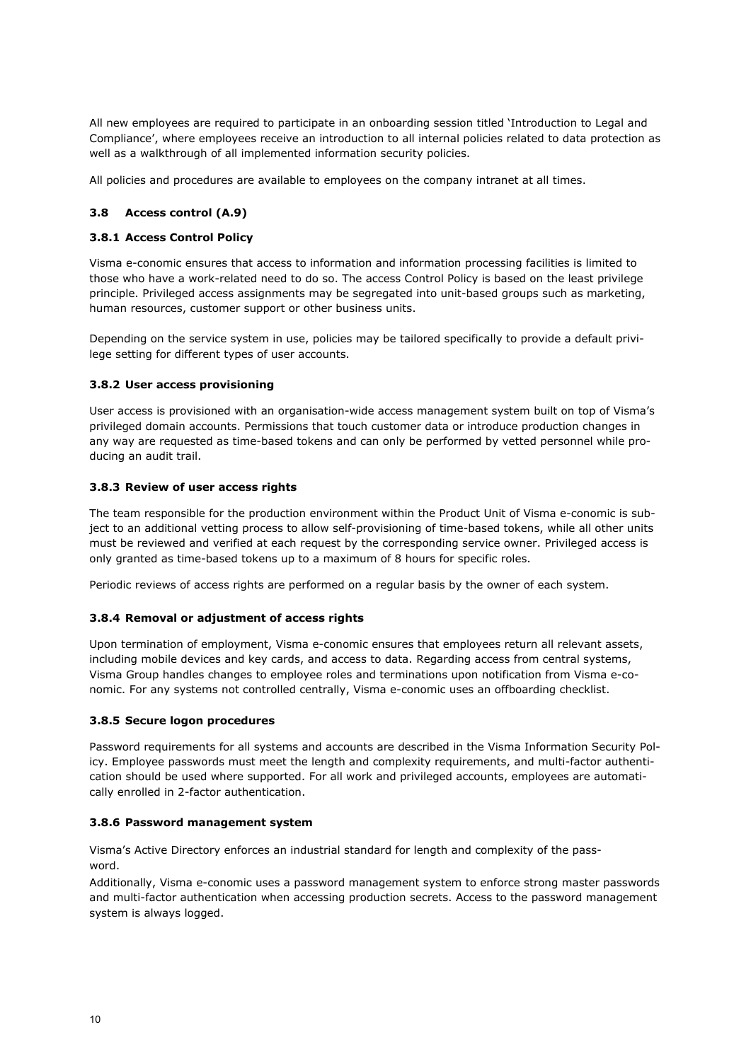All new employees are required to participate in an onboarding session titled 'Introduction to Legal and Compliance', where employees receive an introduction to all internal policies related to data protection as well as a walkthrough of all implemented information security policies.

All policies and procedures are available to employees on the company intranet at all times.

## **3.8 Access control (A.9)**

#### **3.8.1 Access Control Policy**

Visma e-conomic ensures that access to information and information processing facilities is limited to those who have a work-related need to do so. The access Control Policy is based on the least privilege principle. Privileged access assignments may be segregated into unit-based groups such as marketing, human resources, customer support or other business units.

Depending on the service system in use, policies may be tailored specifically to provide a default privilege setting for different types of user accounts.

#### **3.8.2 User access provisioning**

User access is provisioned with an organisation-wide access management system built on top of Visma's privileged domain accounts. Permissions that touch customer data or introduce production changes in any way are requested as time-based tokens and can only be performed by vetted personnel while producing an audit trail.

#### **3.8.3 Review of user access rights**

The team responsible for the production environment within the Product Unit of Visma e-conomic is subject to an additional vetting process to allow self-provisioning of time-based tokens, while all other units must be reviewed and verified at each request by the corresponding service owner. Privileged access is only granted as time-based tokens up to a maximum of 8 hours for specific roles.

Periodic reviews of access rights are performed on a regular basis by the owner of each system.

#### **3.8.4 Removal or adjustment of access rights**

Upon termination of employment, Visma e-conomic ensures that employees return all relevant assets, including mobile devices and key cards, and access to data. Regarding access from central systems, Visma Group handles changes to employee roles and terminations upon notification from Visma e-conomic. For any systems not controlled centrally, Visma e-conomic uses an offboarding checklist.

#### **3.8.5 Secure logon procedures**

Password requirements for all systems and accounts are described in the Visma Information Security Policy. Employee passwords must meet the length and complexity requirements, and multi-factor authentication should be used where supported. For all work and privileged accounts, employees are automatically enrolled in 2-factor authentication.

#### **3.8.6 Password management system**

Visma's Active Directory enforces an industrial standard for length and complexity of the password.

Additionally, Visma e-conomic uses a password management system to enforce strong master passwords and multi-factor authentication when accessing production secrets. Access to the password management system is always logged.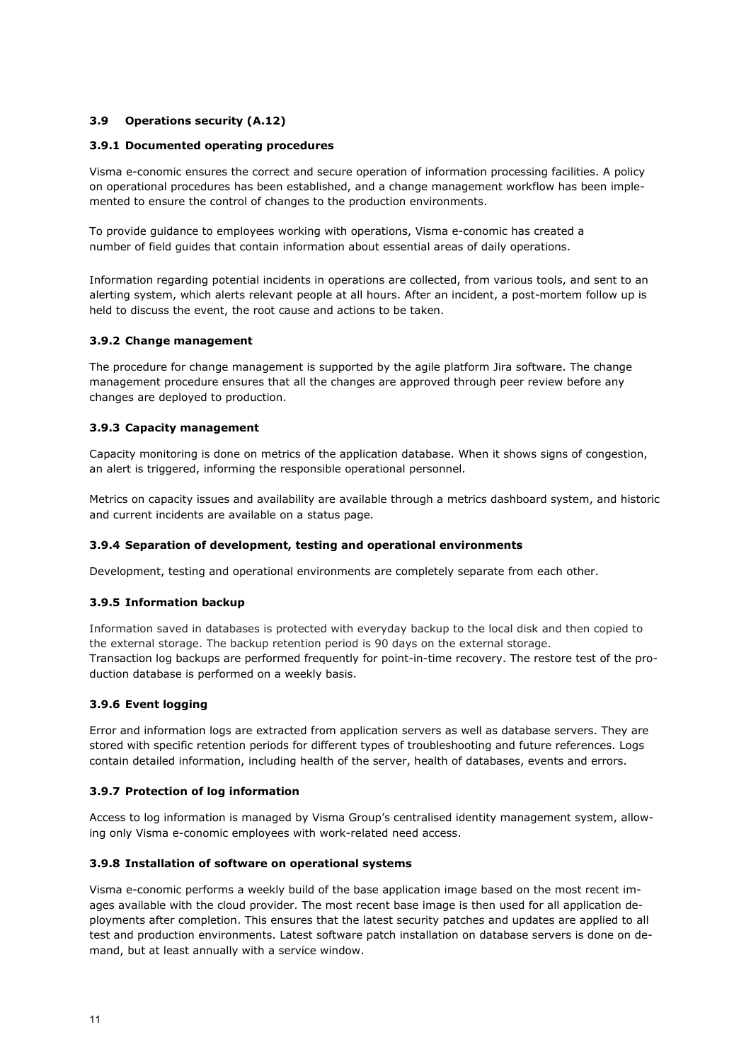## **3.9 Operations security (A.12)**

## **3.9.1 Documented operating procedures**

Visma e-conomic ensures the correct and secure operation of information processing facilities. A policy on operational procedures has been established, and a change management workflow has been implemented to ensure the control of changes to the production environments.

To provide guidance to employees working with operations, Visma e-conomic has created a number of field guides that contain information about essential areas of daily operations.

Information regarding potential incidents in operations are collected, from various tools, and sent to an alerting system, which alerts relevant people at all hours. After an incident, a post-mortem follow up is held to discuss the event, the root cause and actions to be taken.

## **3.9.2 Change management**

The procedure for change management is supported by the agile platform Jira software. The change management procedure ensures that all the changes are approved through peer review before any changes are deployed to production.

## **3.9.3 Capacity management**

Capacity monitoring is done on metrics of the application database. When it shows signs of congestion, an alert is triggered, informing the responsible operational personnel.

Metrics on capacity issues and availability are available through a metrics dashboard system, and historic and current incidents are available on a status page.

#### **3.9.4 Separation of development, testing and operational environments**

Development, testing and operational environments are completely separate from each other.

## **3.9.5 Information backup**

Information saved in databases is protected with everyday backup to the local disk and then copied to the external storage. The backup retention period is 90 days on the external storage. Transaction log backups are performed frequently for point-in-time recovery. The restore test of the production database is performed on a weekly basis.

## **3.9.6 Event logging**

Error and information logs are extracted from application servers as well as database servers. They are stored with specific retention periods for different types of troubleshooting and future references. Logs contain detailed information, including health of the server, health of databases, events and errors.

#### **3.9.7 Protection of log information**

Access to log information is managed by Visma Group's centralised identity management system, allowing only Visma e-conomic employees with work-related need access.

#### **3.9.8 Installation of software on operational systems**

Visma e-conomic performs a weekly build of the base application image based on the most recent images available with the cloud provider. The most recent base image is then used for all application deployments after completion. This ensures that the latest security patches and updates are applied to all test and production environments. Latest software patch installation on database servers is done on demand, but at least annually with a service window.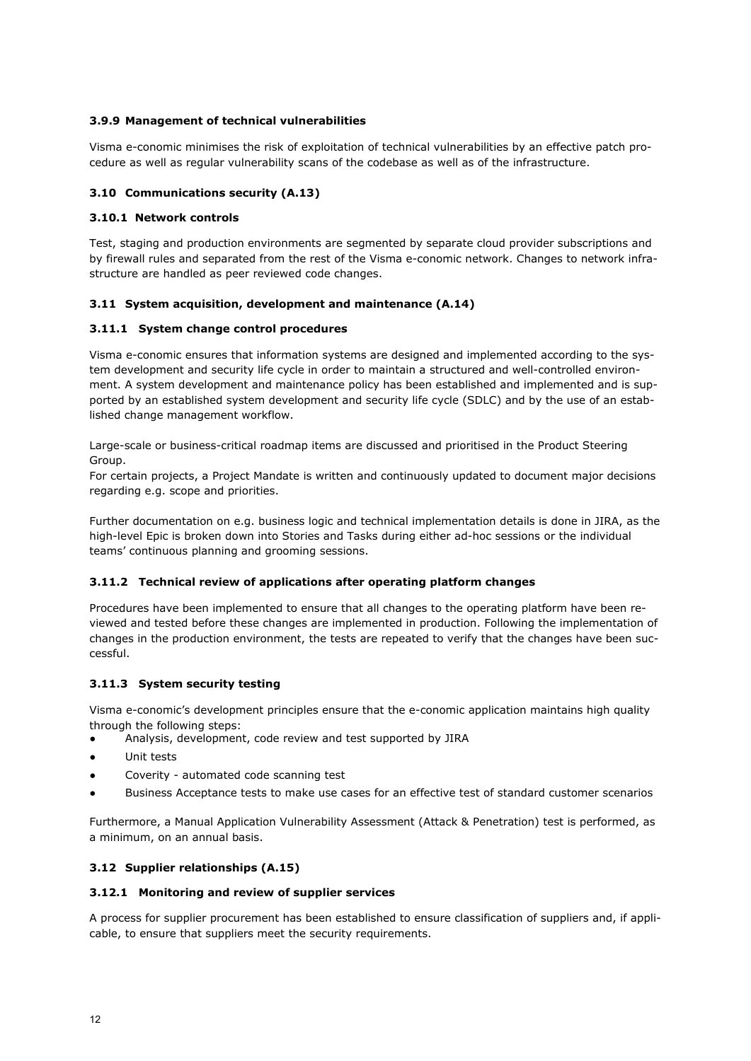## **3.9.9 Management of technical vulnerabilities**

Visma e-conomic minimises the risk of exploitation of technical vulnerabilities by an effective patch procedure as well as regular vulnerability scans of the codebase as well as of the infrastructure.

## **3.10 Communications security (A.13)**

## **3.10.1 Network controls**

Test, staging and production environments are segmented by separate cloud provider subscriptions and by firewall rules and separated from the rest of the Visma e-conomic network. Changes to network infrastructure are handled as peer reviewed code changes.

## **3.11 System acquisition, development and maintenance (A.14)**

## **3.11.1 System change control procedures**

Visma e-conomic ensures that information systems are designed and implemented according to the system development and security life cycle in order to maintain a structured and well-controlled environment. A system development and maintenance policy has been established and implemented and is supported by an established system development and security life cycle (SDLC) and by the use of an established change management workflow.

Large-scale or business-critical roadmap items are discussed and prioritised in the Product Steering Group.

For certain projects, a Project Mandate is written and continuously updated to document major decisions regarding e.g. scope and priorities.

Further documentation on e.g. business logic and technical implementation details is done in JIRA, as the high-level Epic is broken down into Stories and Tasks during either ad-hoc sessions or the individual teams' continuous planning and grooming sessions.

## **3.11.2 Technical review of applications after operating platform changes**

Procedures have been implemented to ensure that all changes to the operating platform have been reviewed and tested before these changes are implemented in production. Following the implementation of changes in the production environment, the tests are repeated to verify that the changes have been successful.

## **3.11.3 System security testing**

Visma e-conomic's development principles ensure that the e-conomic application maintains high quality through the following steps:

- Analysis, development, code review and test supported by JIRA
- Unit tests
- Coverity automated code scanning test
- Business Acceptance tests to make use cases for an effective test of standard customer scenarios

Furthermore, a Manual Application Vulnerability Assessment (Attack & Penetration) test is performed, as a minimum, on an annual basis.

## **3.12 Supplier relationships (A.15)**

## **3.12.1 Monitoring and review of supplier services**

A process for supplier procurement has been established to ensure classification of suppliers and, if applicable, to ensure that suppliers meet the security requirements.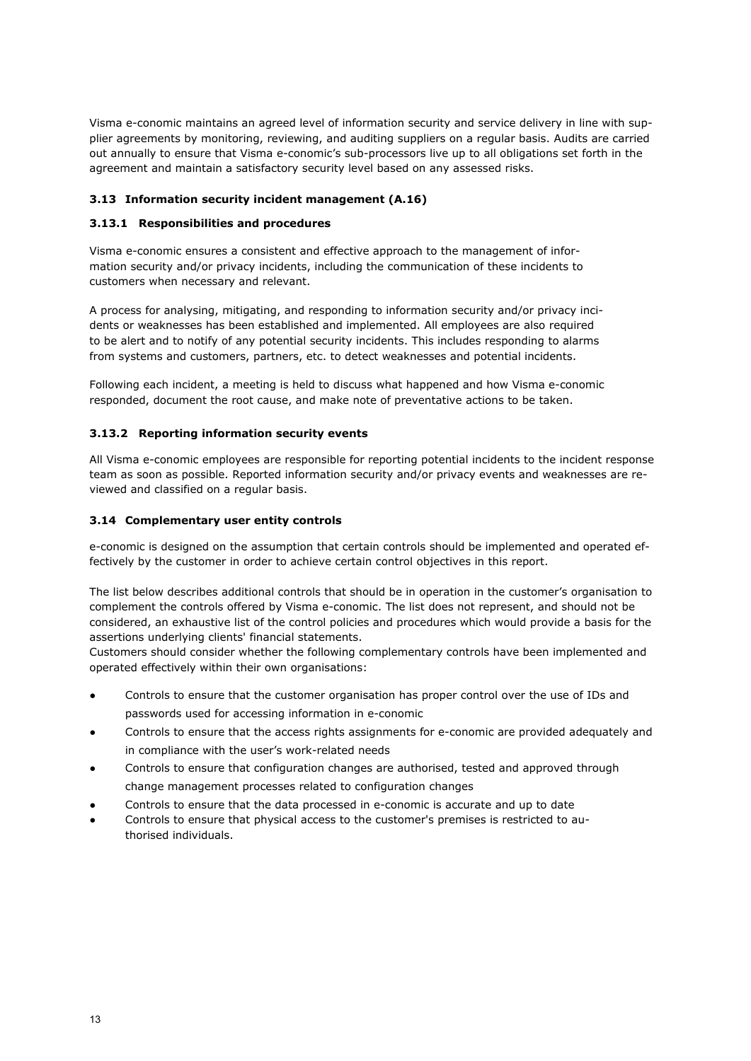Visma e-conomic maintains an agreed level of information security and service delivery in line with supplier agreements by monitoring, reviewing, and auditing suppliers on a regular basis. Audits are carried out annually to ensure that Visma e-conomic's sub-processors live up to all obligations set forth in the agreement and maintain a satisfactory security level based on any assessed risks.

## **3.13 Information security incident management (A.16)**

## **3.13.1 Responsibilities and procedures**

Visma e-conomic ensures a consistent and effective approach to the management of information security and/or privacy incidents, including the communication of these incidents to customers when necessary and relevant.

A process for analysing, mitigating, and responding to information security and/or privacy incidents or weaknesses has been established and implemented. All employees are also required to be alert and to notify of any potential security incidents. This includes responding to alarms from systems and customers, partners, etc. to detect weaknesses and potential incidents.

Following each incident, a meeting is held to discuss what happened and how Visma e-conomic responded, document the root cause, and make note of preventative actions to be taken.

## **3.13.2 Reporting information security events**

All Visma e-conomic employees are responsible for reporting potential incidents to the incident response team as soon as possible. Reported information security and/or privacy events and weaknesses are reviewed and classified on a regular basis.

## **3.14 Complementary user entity controls**

e-conomic is designed on the assumption that certain controls should be implemented and operated effectively by the customer in order to achieve certain control objectives in this report.

The list below describes additional controls that should be in operation in the customer's organisation to complement the controls offered by Visma e-conomic. The list does not represent, and should not be considered, an exhaustive list of the control policies and procedures which would provide a basis for the assertions underlying clients' financial statements.

Customers should consider whether the following complementary controls have been implemented and operated effectively within their own organisations:

- Controls to ensure that the customer organisation has proper control over the use of IDs and passwords used for accessing information in e-conomic
- Controls to ensure that the access rights assignments for e-conomic are provided adequately and in compliance with the user's work-related needs
- Controls to ensure that configuration changes are authorised, tested and approved through change management processes related to configuration changes
- Controls to ensure that the data processed in e-conomic is accurate and up to date
- Controls to ensure that physical access to the customer's premises is restricted to authorised individuals.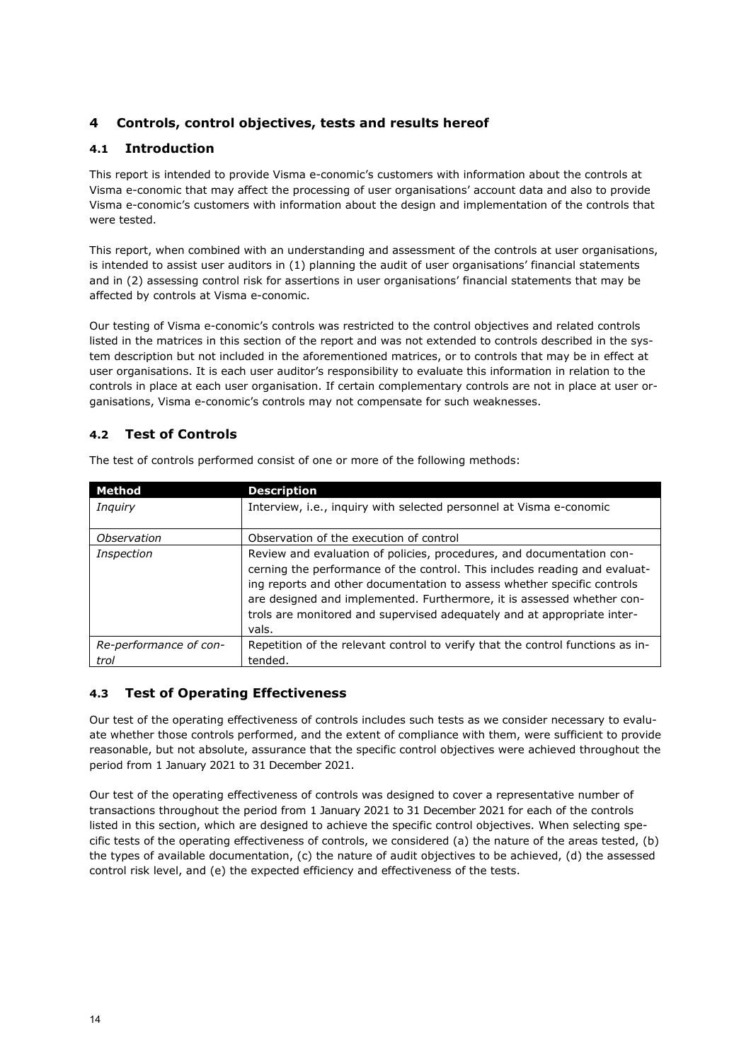# <span id="page-15-0"></span>**4 Controls, control objectives, tests and results hereof**

## **4.1 Introduction**

This report is intended to provide Visma e-conomic's customers with information about the controls at Visma e-conomic that may affect the processing of user organisations' account data and also to provide Visma e-conomic's customers with information about the design and implementation of the controls that were tested.

This report, when combined with an understanding and assessment of the controls at user organisations, is intended to assist user auditors in (1) planning the audit of user organisations' financial statements and in (2) assessing control risk for assertions in user organisations' financial statements that may be affected by controls at Visma e-conomic.

Our testing of Visma e-conomic's controls was restricted to the control objectives and related controls listed in the matrices in this section of the report and was not extended to controls described in the system description but not included in the aforementioned matrices, or to controls that may be in effect at user organisations. It is each user auditor's responsibility to evaluate this information in relation to the controls in place at each user organisation. If certain complementary controls are not in place at user organisations, Visma e-conomic's controls may not compensate for such weaknesses.

## **4.2 Test of Controls**

| Method                         | <b>Description</b>                                                                                                                                                                                                                                                                                                                                                                           |  |
|--------------------------------|----------------------------------------------------------------------------------------------------------------------------------------------------------------------------------------------------------------------------------------------------------------------------------------------------------------------------------------------------------------------------------------------|--|
| Inguiry                        | Interview, i.e., inquiry with selected personnel at Visma e-conomic                                                                                                                                                                                                                                                                                                                          |  |
| Observation                    | Observation of the execution of control                                                                                                                                                                                                                                                                                                                                                      |  |
| Inspection                     | Review and evaluation of policies, procedures, and documentation con-<br>cerning the performance of the control. This includes reading and evaluat-<br>ing reports and other documentation to assess whether specific controls<br>are designed and implemented. Furthermore, it is assessed whether con-<br>trols are monitored and supervised adequately and at appropriate inter-<br>vals. |  |
| Re-performance of con-<br>trol | Repetition of the relevant control to verify that the control functions as in-<br>tended.                                                                                                                                                                                                                                                                                                    |  |
|                                |                                                                                                                                                                                                                                                                                                                                                                                              |  |

The test of controls performed consist of one or more of the following methods:

# **4.3 Test of Operating Effectiveness**

Our test of the operating effectiveness of controls includes such tests as we consider necessary to evaluate whether those controls performed, and the extent of compliance with them, were sufficient to provide reasonable, but not absolute, assurance that the specific control objectives were achieved throughout the period from 1 January 2021 to 31 December 2021.

Our test of the operating effectiveness of controls was designed to cover a representative number of transactions throughout the period from 1 January 2021 to 31 December 2021 for each of the controls listed in this section, which are designed to achieve the specific control objectives. When selecting specific tests of the operating effectiveness of controls, we considered (a) the nature of the areas tested, (b) the types of available documentation, (c) the nature of audit objectives to be achieved, (d) the assessed control risk level, and (e) the expected efficiency and effectiveness of the tests.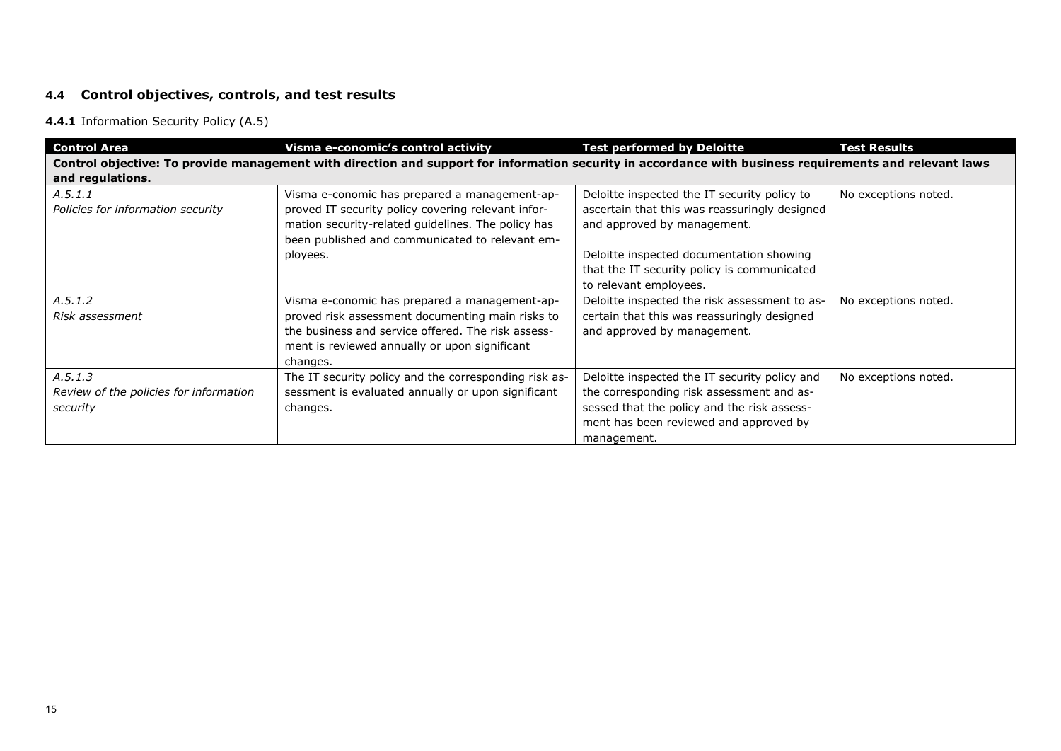# **4.4 Control objectives, controls, and test results**

## **4.4.1** Information Security Policy (A.5)

| <b>Control Area</b>                                           | Visma e-conomic's control activity                                                                                                                                                                                   | <b>Test performed by Deloitte</b>                                                                                                                                                                  | <b>Test Results</b>  |
|---------------------------------------------------------------|----------------------------------------------------------------------------------------------------------------------------------------------------------------------------------------------------------------------|----------------------------------------------------------------------------------------------------------------------------------------------------------------------------------------------------|----------------------|
| and regulations.                                              | Control objective: To provide management with direction and support for information security in accordance with business requirements and relevant laws                                                              |                                                                                                                                                                                                    |                      |
| A.5.1.1<br>Policies for information security                  | Visma e-conomic has prepared a management-ap-<br>proved IT security policy covering relevant infor-<br>mation security-related guidelines. The policy has<br>been published and communicated to relevant em-         | Deloitte inspected the IT security policy to<br>ascertain that this was reassuringly designed<br>and approved by management.                                                                       | No exceptions noted. |
|                                                               | ployees.                                                                                                                                                                                                             | Deloitte inspected documentation showing<br>that the IT security policy is communicated<br>to relevant employees.                                                                                  |                      |
| A.5.1.2<br>Risk assessment                                    | Visma e-conomic has prepared a management-ap-<br>proved risk assessment documenting main risks to<br>the business and service offered. The risk assess-<br>ment is reviewed annually or upon significant<br>changes. | Deloitte inspected the risk assessment to as-<br>certain that this was reassuringly designed<br>and approved by management.                                                                        | No exceptions noted. |
| A.5.1.3<br>Review of the policies for information<br>security | The IT security policy and the corresponding risk as-<br>sessment is evaluated annually or upon significant<br>changes.                                                                                              | Deloitte inspected the IT security policy and<br>the corresponding risk assessment and as-<br>sessed that the policy and the risk assess-<br>ment has been reviewed and approved by<br>management. | No exceptions noted. |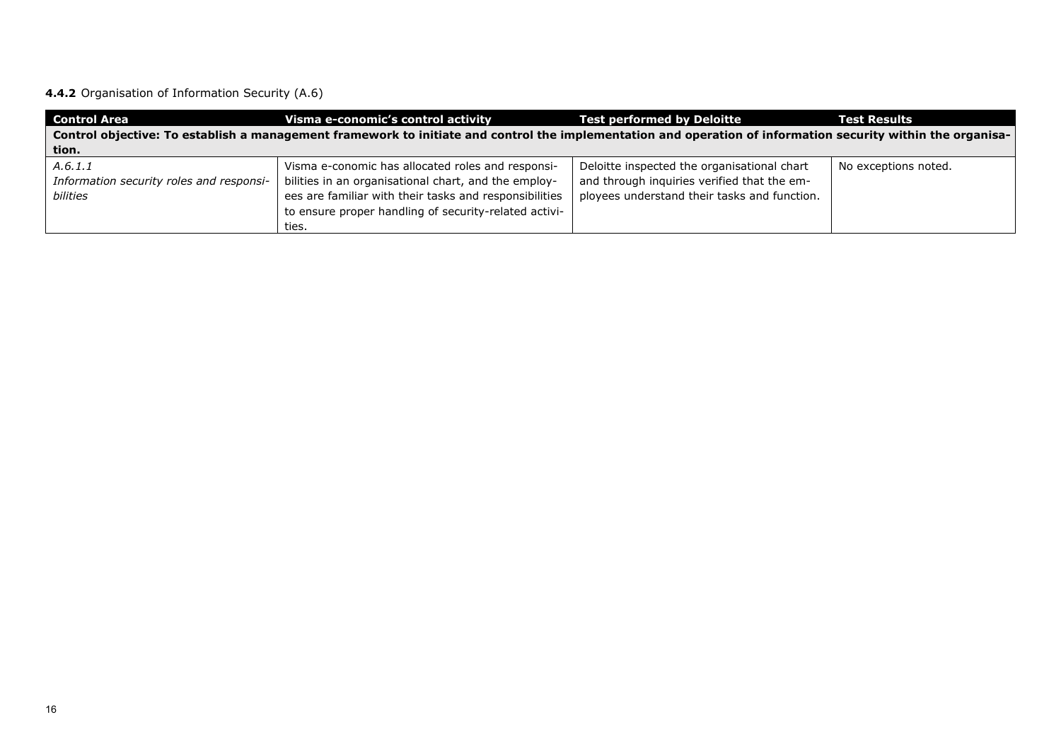**4.4.2** Organisation of Information Security (A.6)

| <b>Control Area</b>                                  | Visma e-conomic's control activity                                                                                                                           | <b>Test performed by Deloitte</b>                                                           | <b>Test Results</b>  |  |
|------------------------------------------------------|--------------------------------------------------------------------------------------------------------------------------------------------------------------|---------------------------------------------------------------------------------------------|----------------------|--|
|                                                      | Control objective: To establish a management framework to initiate and control the implementation and operation of information security within the organisa- |                                                                                             |                      |  |
| tion.                                                |                                                                                                                                                              |                                                                                             |                      |  |
| A.6.1.1                                              | Visma e-conomic has allocated roles and responsi-                                                                                                            | Deloitte inspected the organisational chart                                                 | No exceptions noted. |  |
| Information security roles and responsi-<br>bilities | bilities in an organisational chart, and the employ-<br>ees are familiar with their tasks and responsibilities                                               | and through inquiries verified that the em-<br>ployees understand their tasks and function. |                      |  |
|                                                      | to ensure proper handling of security-related activi-                                                                                                        |                                                                                             |                      |  |
|                                                      | ties.                                                                                                                                                        |                                                                                             |                      |  |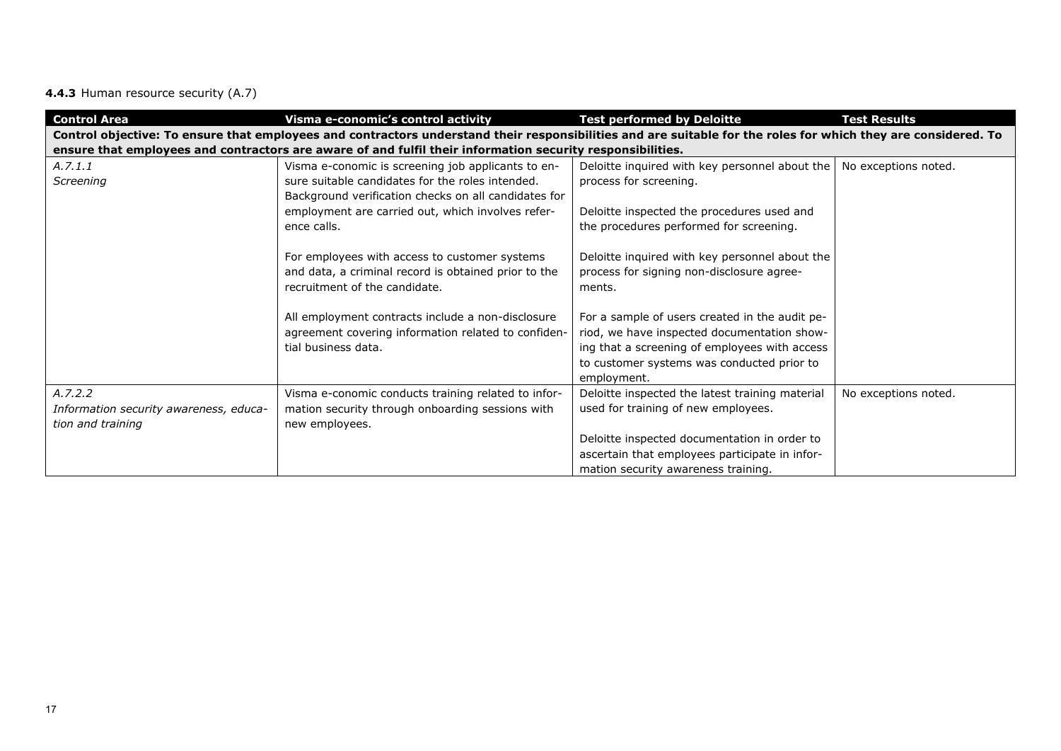**4.4.3** Human resource security (A.7)

| <b>Control Area</b>                    | Visma e-conomic's control activity                                                                                                                             | <b>Test performed by Deloitte</b>               | <b>Test Results</b>  |
|----------------------------------------|----------------------------------------------------------------------------------------------------------------------------------------------------------------|-------------------------------------------------|----------------------|
|                                        | Control objective: To ensure that employees and contractors understand their responsibilities and are suitable for the roles for which they are considered. To |                                                 |                      |
|                                        | ensure that employees and contractors are aware of and fulfil their information security responsibilities.                                                     |                                                 |                      |
| A.7.1.1                                | Visma e-conomic is screening job applicants to en-                                                                                                             | Deloitte inquired with key personnel about the  | No exceptions noted. |
| Screening                              | sure suitable candidates for the roles intended.                                                                                                               | process for screening.                          |                      |
|                                        | Background verification checks on all candidates for                                                                                                           |                                                 |                      |
|                                        | employment are carried out, which involves refer-                                                                                                              | Deloitte inspected the procedures used and      |                      |
|                                        | ence calls.                                                                                                                                                    | the procedures performed for screening.         |                      |
|                                        |                                                                                                                                                                |                                                 |                      |
|                                        | For employees with access to customer systems                                                                                                                  | Deloitte inquired with key personnel about the  |                      |
|                                        | and data, a criminal record is obtained prior to the                                                                                                           | process for signing non-disclosure agree-       |                      |
|                                        | recruitment of the candidate.                                                                                                                                  | ments.                                          |                      |
|                                        |                                                                                                                                                                |                                                 |                      |
|                                        | All employment contracts include a non-disclosure                                                                                                              | For a sample of users created in the audit pe-  |                      |
|                                        | agreement covering information related to confiden-                                                                                                            | riod, we have inspected documentation show-     |                      |
|                                        | tial business data.                                                                                                                                            | ing that a screening of employees with access   |                      |
|                                        |                                                                                                                                                                | to customer systems was conducted prior to      |                      |
|                                        |                                                                                                                                                                | employment.                                     |                      |
| A.7.2.2                                | Visma e-conomic conducts training related to infor-                                                                                                            | Deloitte inspected the latest training material | No exceptions noted. |
| Information security awareness, educa- | mation security through onboarding sessions with                                                                                                               | used for training of new employees.             |                      |
| tion and training                      | new employees.                                                                                                                                                 |                                                 |                      |
|                                        |                                                                                                                                                                | Deloitte inspected documentation in order to    |                      |
|                                        |                                                                                                                                                                | ascertain that employees participate in infor-  |                      |
|                                        |                                                                                                                                                                | mation security awareness training.             |                      |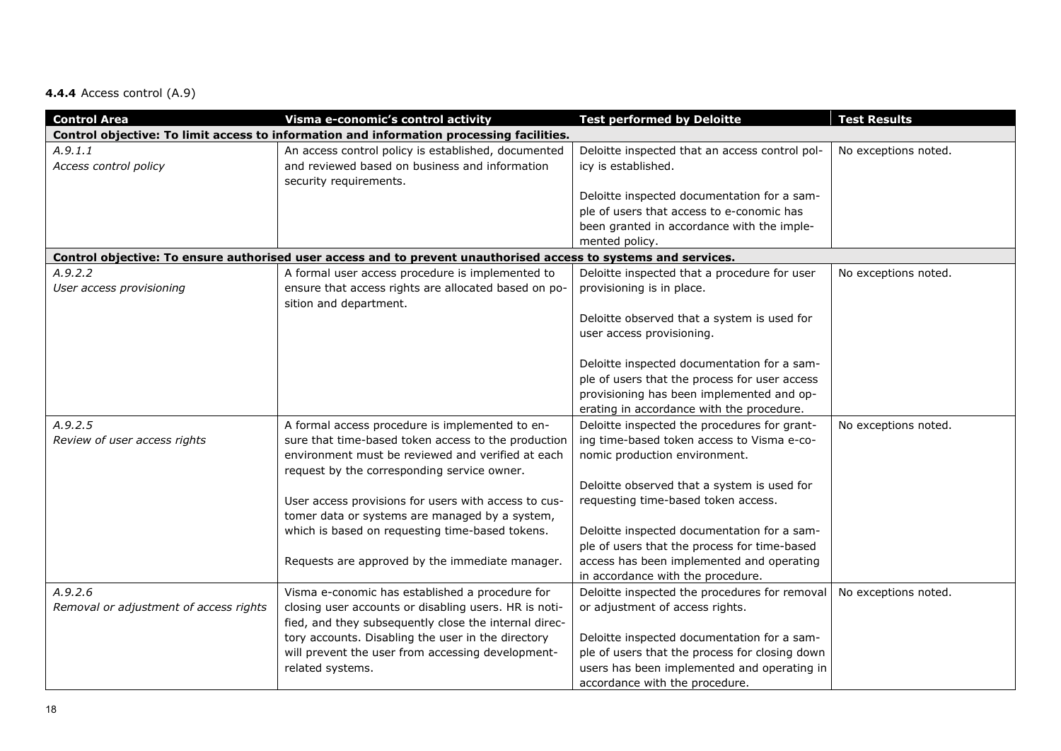# **4.4.4** Access control (A.9)

| <b>Control Area</b>                    | Visma e-conomic's control activity                                                                              | <b>Test performed by Deloitte</b>              | <b>Test Results</b>  |
|----------------------------------------|-----------------------------------------------------------------------------------------------------------------|------------------------------------------------|----------------------|
|                                        | Control objective: To limit access to information and information processing facilities.                        |                                                |                      |
| A.9.1.1                                | An access control policy is established, documented                                                             | Deloitte inspected that an access control pol- | No exceptions noted. |
| Access control policy                  | and reviewed based on business and information                                                                  | icy is established.                            |                      |
|                                        | security requirements.                                                                                          |                                                |                      |
|                                        |                                                                                                                 | Deloitte inspected documentation for a sam-    |                      |
|                                        |                                                                                                                 | ple of users that access to e-conomic has      |                      |
|                                        |                                                                                                                 | been granted in accordance with the imple-     |                      |
|                                        |                                                                                                                 | mented policy.                                 |                      |
|                                        | Control objective: To ensure authorised user access and to prevent unauthorised access to systems and services. |                                                |                      |
| A.9.2.2                                | A formal user access procedure is implemented to                                                                | Deloitte inspected that a procedure for user   | No exceptions noted. |
| User access provisioning               | ensure that access rights are allocated based on po-                                                            | provisioning is in place.                      |                      |
|                                        | sition and department.                                                                                          |                                                |                      |
|                                        |                                                                                                                 | Deloitte observed that a system is used for    |                      |
|                                        |                                                                                                                 | user access provisioning.                      |                      |
|                                        |                                                                                                                 |                                                |                      |
|                                        |                                                                                                                 | Deloitte inspected documentation for a sam-    |                      |
|                                        |                                                                                                                 | ple of users that the process for user access  |                      |
|                                        |                                                                                                                 | provisioning has been implemented and op-      |                      |
|                                        |                                                                                                                 | erating in accordance with the procedure.      |                      |
| A.9.2.5                                | A formal access procedure is implemented to en-                                                                 | Deloitte inspected the procedures for grant-   | No exceptions noted. |
| Review of user access rights           | sure that time-based token access to the production                                                             | ing time-based token access to Visma e-co-     |                      |
|                                        | environment must be reviewed and verified at each                                                               | nomic production environment.                  |                      |
|                                        | request by the corresponding service owner.                                                                     |                                                |                      |
|                                        |                                                                                                                 | Deloitte observed that a system is used for    |                      |
|                                        | User access provisions for users with access to cus-                                                            | requesting time-based token access.            |                      |
|                                        | tomer data or systems are managed by a system,                                                                  |                                                |                      |
|                                        | which is based on requesting time-based tokens.                                                                 | Deloitte inspected documentation for a sam-    |                      |
|                                        |                                                                                                                 | ple of users that the process for time-based   |                      |
|                                        | Requests are approved by the immediate manager.                                                                 | access has been implemented and operating      |                      |
|                                        |                                                                                                                 | in accordance with the procedure.              |                      |
| A.9.2.6                                | Visma e-conomic has established a procedure for                                                                 | Deloitte inspected the procedures for removal  | No exceptions noted. |
| Removal or adjustment of access rights | closing user accounts or disabling users. HR is noti-                                                           | or adjustment of access rights.                |                      |
|                                        | fied, and they subsequently close the internal direc-                                                           |                                                |                      |
|                                        | tory accounts. Disabling the user in the directory                                                              | Deloitte inspected documentation for a sam-    |                      |
|                                        | will prevent the user from accessing development-                                                               | ple of users that the process for closing down |                      |
|                                        | related systems.                                                                                                | users has been implemented and operating in    |                      |
|                                        |                                                                                                                 | accordance with the procedure.                 |                      |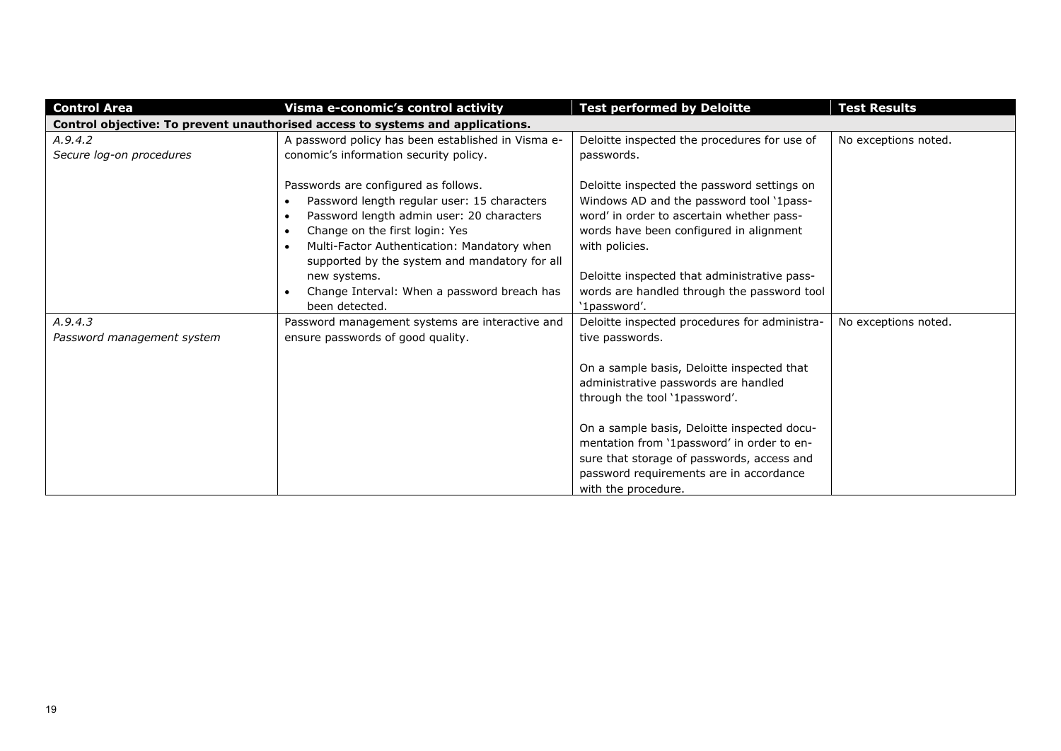| <b>Control Area</b>                   | Visma e-conomic's control activity                                                                                                                                                                                                                                                                                                                                            | <b>Test performed by Deloitte</b>                                                                                                                                                                                                                                                                                | <b>Test Results</b>  |  |  |
|---------------------------------------|-------------------------------------------------------------------------------------------------------------------------------------------------------------------------------------------------------------------------------------------------------------------------------------------------------------------------------------------------------------------------------|------------------------------------------------------------------------------------------------------------------------------------------------------------------------------------------------------------------------------------------------------------------------------------------------------------------|----------------------|--|--|
|                                       | Control objective: To prevent unauthorised access to systems and applications.                                                                                                                                                                                                                                                                                                |                                                                                                                                                                                                                                                                                                                  |                      |  |  |
| A.9.4.2<br>Secure log-on procedures   | A password policy has been established in Visma e-<br>conomic's information security policy.                                                                                                                                                                                                                                                                                  | Deloitte inspected the procedures for use of<br>passwords.                                                                                                                                                                                                                                                       | No exceptions noted. |  |  |
|                                       | Passwords are configured as follows.<br>Password length regular user: 15 characters<br>Password length admin user: 20 characters<br>$\bullet$<br>Change on the first login: Yes<br>$\bullet$<br>Multi-Factor Authentication: Mandatory when<br>supported by the system and mandatory for all<br>new systems.<br>Change Interval: When a password breach has<br>been detected. | Deloitte inspected the password settings on<br>Windows AD and the password tool '1pass-<br>word' in order to ascertain whether pass-<br>words have been configured in alignment<br>with policies.<br>Deloitte inspected that administrative pass-<br>words are handled through the password tool<br>'1password'. |                      |  |  |
| A.9.4.3<br>Password management system | Password management systems are interactive and<br>ensure passwords of good quality.                                                                                                                                                                                                                                                                                          | Deloitte inspected procedures for administra-<br>tive passwords.<br>On a sample basis, Deloitte inspected that<br>administrative passwords are handled<br>through the tool '1password'.<br>On a sample basis, Deloitte inspected docu-                                                                           | No exceptions noted. |  |  |
|                                       |                                                                                                                                                                                                                                                                                                                                                                               | mentation from '1password' in order to en-<br>sure that storage of passwords, access and<br>password requirements are in accordance<br>with the procedure.                                                                                                                                                       |                      |  |  |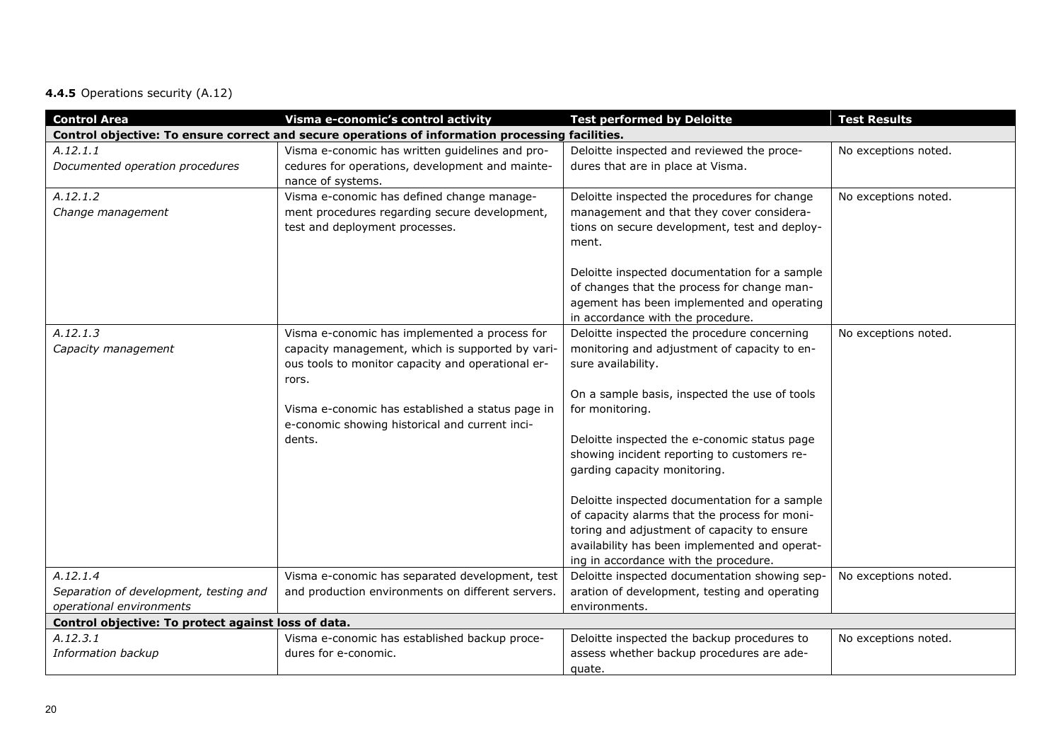# **4.4.5** Operations security (A.12)

| <b>Control Area</b>                                 | Visma e-conomic's control activity                                                               | <b>Test performed by Deloitte</b>                                                | <b>Test Results</b>  |
|-----------------------------------------------------|--------------------------------------------------------------------------------------------------|----------------------------------------------------------------------------------|----------------------|
|                                                     | Control objective: To ensure correct and secure operations of information processing facilities. |                                                                                  |                      |
| A.12.1.1                                            | Visma e-conomic has written guidelines and pro-                                                  | Deloitte inspected and reviewed the proce-                                       | No exceptions noted. |
| Documented operation procedures                     | cedures for operations, development and mainte-                                                  | dures that are in place at Visma.                                                |                      |
|                                                     | nance of systems.                                                                                |                                                                                  |                      |
| A.12.1.2                                            | Visma e-conomic has defined change manage-                                                       | Deloitte inspected the procedures for change                                     | No exceptions noted. |
| Change management                                   | ment procedures regarding secure development,                                                    | management and that they cover considera-                                        |                      |
|                                                     | test and deployment processes.                                                                   | tions on secure development, test and deploy-                                    |                      |
|                                                     |                                                                                                  | ment.                                                                            |                      |
|                                                     |                                                                                                  |                                                                                  |                      |
|                                                     |                                                                                                  | Deloitte inspected documentation for a sample                                    |                      |
|                                                     |                                                                                                  | of changes that the process for change man-                                      |                      |
|                                                     |                                                                                                  | agement has been implemented and operating                                       |                      |
| A.12.1.3                                            | Visma e-conomic has implemented a process for                                                    | in accordance with the procedure.<br>Deloitte inspected the procedure concerning | No exceptions noted. |
| Capacity management                                 | capacity management, which is supported by vari-                                                 | monitoring and adjustment of capacity to en-                                     |                      |
|                                                     | ous tools to monitor capacity and operational er-                                                | sure availability.                                                               |                      |
|                                                     | rors.                                                                                            |                                                                                  |                      |
|                                                     |                                                                                                  | On a sample basis, inspected the use of tools                                    |                      |
|                                                     | Visma e-conomic has established a status page in                                                 | for monitoring.                                                                  |                      |
|                                                     | e-conomic showing historical and current inci-                                                   |                                                                                  |                      |
|                                                     | dents.                                                                                           | Deloitte inspected the e-conomic status page                                     |                      |
|                                                     |                                                                                                  | showing incident reporting to customers re-                                      |                      |
|                                                     |                                                                                                  | garding capacity monitoring.                                                     |                      |
|                                                     |                                                                                                  |                                                                                  |                      |
|                                                     |                                                                                                  | Deloitte inspected documentation for a sample                                    |                      |
|                                                     |                                                                                                  | of capacity alarms that the process for moni-                                    |                      |
|                                                     |                                                                                                  | toring and adjustment of capacity to ensure                                      |                      |
|                                                     |                                                                                                  | availability has been implemented and operat-                                    |                      |
|                                                     |                                                                                                  | ing in accordance with the procedure.                                            |                      |
| A.12.1.4                                            | Visma e-conomic has separated development, test                                                  | Deloitte inspected documentation showing sep-                                    | No exceptions noted. |
| Separation of development, testing and              | and production environments on different servers.                                                | aration of development, testing and operating                                    |                      |
| operational environments                            |                                                                                                  | environments.                                                                    |                      |
| Control objective: To protect against loss of data. |                                                                                                  |                                                                                  |                      |
| A.12.3.1                                            | Visma e-conomic has established backup proce-                                                    | Deloitte inspected the backup procedures to                                      | No exceptions noted. |
| Information backup                                  | dures for e-conomic.                                                                             | assess whether backup procedures are ade-                                        |                      |
|                                                     |                                                                                                  | quate.                                                                           |                      |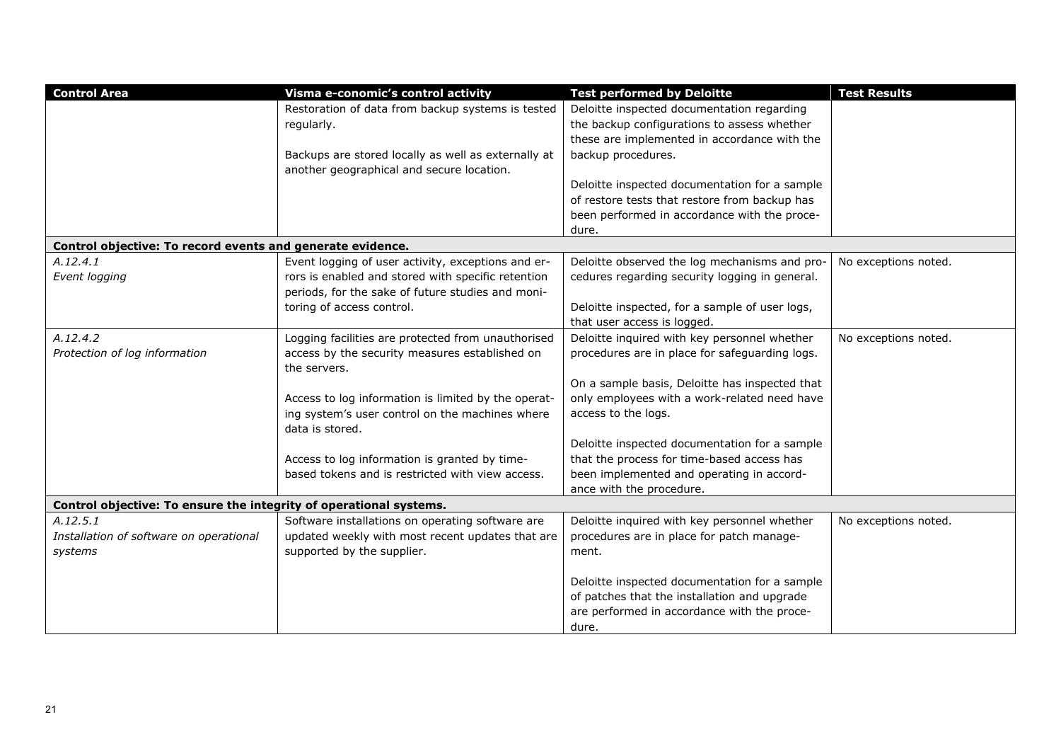| <b>Control Area</b>                                                | Visma e-conomic's control activity                  | <b>Test performed by Deloitte</b>              | <b>Test Results</b>  |
|--------------------------------------------------------------------|-----------------------------------------------------|------------------------------------------------|----------------------|
|                                                                    | Restoration of data from backup systems is tested   | Deloitte inspected documentation regarding     |                      |
|                                                                    | regularly.                                          | the backup configurations to assess whether    |                      |
|                                                                    |                                                     | these are implemented in accordance with the   |                      |
|                                                                    | Backups are stored locally as well as externally at | backup procedures.                             |                      |
|                                                                    | another geographical and secure location.           |                                                |                      |
|                                                                    |                                                     | Deloitte inspected documentation for a sample  |                      |
|                                                                    |                                                     | of restore tests that restore from backup has  |                      |
|                                                                    |                                                     | been performed in accordance with the proce-   |                      |
|                                                                    |                                                     | dure.                                          |                      |
| Control objective: To record events and generate evidence.         |                                                     |                                                |                      |
| A.12.4.1                                                           | Event logging of user activity, exceptions and er-  | Deloitte observed the log mechanisms and pro-  | No exceptions noted. |
| Event logging                                                      | rors is enabled and stored with specific retention  | cedures regarding security logging in general. |                      |
|                                                                    | periods, for the sake of future studies and moni-   |                                                |                      |
|                                                                    | toring of access control.                           | Deloitte inspected, for a sample of user logs, |                      |
|                                                                    |                                                     | that user access is logged.                    |                      |
| A.12.4.2                                                           | Logging facilities are protected from unauthorised  | Deloitte inquired with key personnel whether   | No exceptions noted. |
| Protection of log information                                      | access by the security measures established on      | procedures are in place for safeguarding logs. |                      |
|                                                                    | the servers.                                        |                                                |                      |
|                                                                    |                                                     | On a sample basis, Deloitte has inspected that |                      |
|                                                                    | Access to log information is limited by the operat- | only employees with a work-related need have   |                      |
|                                                                    | ing system's user control on the machines where     | access to the logs.                            |                      |
|                                                                    | data is stored.                                     |                                                |                      |
|                                                                    |                                                     | Deloitte inspected documentation for a sample  |                      |
|                                                                    | Access to log information is granted by time-       | that the process for time-based access has     |                      |
|                                                                    | based tokens and is restricted with view access.    | been implemented and operating in accord-      |                      |
|                                                                    |                                                     | ance with the procedure.                       |                      |
| Control objective: To ensure the integrity of operational systems. |                                                     |                                                |                      |
| A.12.5.1                                                           | Software installations on operating software are    | Deloitte inquired with key personnel whether   | No exceptions noted. |
| Installation of software on operational                            | updated weekly with most recent updates that are    | procedures are in place for patch manage-      |                      |
| systems                                                            | supported by the supplier.                          | ment.                                          |                      |
|                                                                    |                                                     |                                                |                      |
|                                                                    |                                                     | Deloitte inspected documentation for a sample  |                      |
|                                                                    |                                                     | of patches that the installation and upgrade   |                      |
|                                                                    |                                                     | are performed in accordance with the proce-    |                      |
|                                                                    |                                                     | dure.                                          |                      |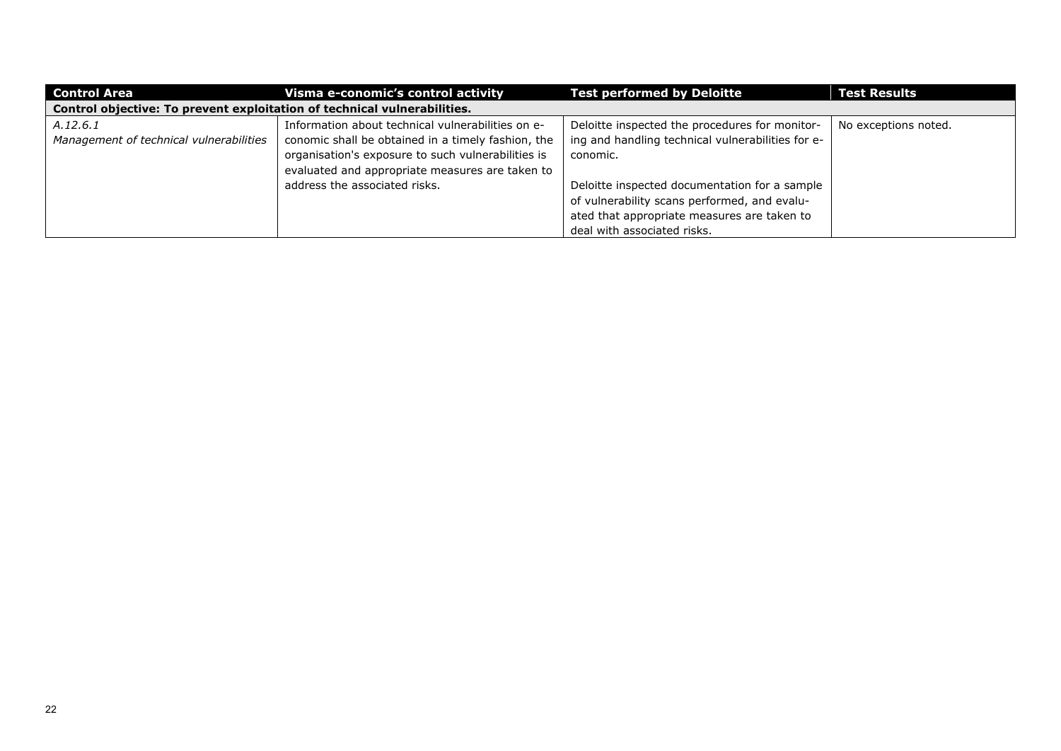| <b>Control Area</b>                                                      | Visma e-conomic's control activity                 | <b>Test performed by Deloitte</b>                 | <b>Test Results</b>  |
|--------------------------------------------------------------------------|----------------------------------------------------|---------------------------------------------------|----------------------|
| Control objective: To prevent exploitation of technical vulnerabilities. |                                                    |                                                   |                      |
| A.12.6.1                                                                 | Information about technical vulnerabilities on e-  | Deloitte inspected the procedures for monitor-    | No exceptions noted. |
| Management of technical vulnerabilities                                  | conomic shall be obtained in a timely fashion, the | ing and handling technical vulnerabilities for e- |                      |
|                                                                          | organisation's exposure to such vulnerabilities is | conomic.                                          |                      |
|                                                                          | evaluated and appropriate measures are taken to    |                                                   |                      |
|                                                                          | address the associated risks.                      | Deloitte inspected documentation for a sample     |                      |
|                                                                          |                                                    | of vulnerability scans performed, and evalu-      |                      |
|                                                                          |                                                    | ated that appropriate measures are taken to       |                      |
|                                                                          |                                                    | deal with associated risks.                       |                      |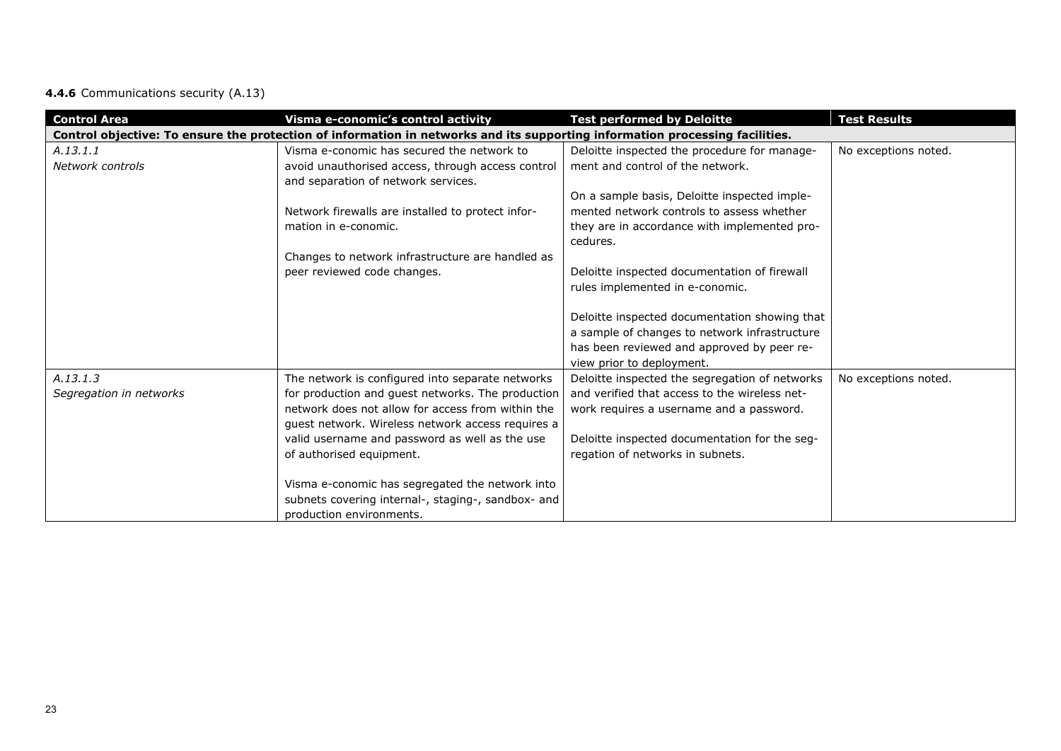# **4.4.6** Communications security (A.13)

| <b>Control Area</b>                 | Visma e-conomic's control activity                                                                                                                                                                                                                                                            | <b>Test performed by Deloitte</b>                                                                                                                                                                                                | <b>Test Results</b>  |
|-------------------------------------|-----------------------------------------------------------------------------------------------------------------------------------------------------------------------------------------------------------------------------------------------------------------------------------------------|----------------------------------------------------------------------------------------------------------------------------------------------------------------------------------------------------------------------------------|----------------------|
|                                     | Control objective: To ensure the protection of information in networks and its supporting information processing facilities.                                                                                                                                                                  |                                                                                                                                                                                                                                  |                      |
| A.13.1.1<br>Network controls        | Visma e-conomic has secured the network to<br>avoid unauthorised access, through access control<br>and separation of network services.                                                                                                                                                        | Deloitte inspected the procedure for manage-<br>ment and control of the network.                                                                                                                                                 | No exceptions noted. |
|                                     | Network firewalls are installed to protect infor-<br>mation in e-conomic.                                                                                                                                                                                                                     | On a sample basis, Deloitte inspected imple-<br>mented network controls to assess whether<br>they are in accordance with implemented pro-<br>cedures.                                                                            |                      |
|                                     | Changes to network infrastructure are handled as<br>peer reviewed code changes.                                                                                                                                                                                                               | Deloitte inspected documentation of firewall<br>rules implemented in e-conomic.                                                                                                                                                  |                      |
|                                     |                                                                                                                                                                                                                                                                                               | Deloitte inspected documentation showing that<br>a sample of changes to network infrastructure<br>has been reviewed and approved by peer re-<br>view prior to deployment.                                                        |                      |
| A.13.1.3<br>Segregation in networks | The network is configured into separate networks<br>for production and guest networks. The production<br>network does not allow for access from within the<br>guest network. Wireless network access requires a<br>valid username and password as well as the use<br>of authorised equipment. | Deloitte inspected the segregation of networks<br>and verified that access to the wireless net-<br>work requires a username and a password.<br>Deloitte inspected documentation for the seg-<br>regation of networks in subnets. | No exceptions noted. |
|                                     | Visma e-conomic has segregated the network into<br>subnets covering internal-, staging-, sandbox- and<br>production environments.                                                                                                                                                             |                                                                                                                                                                                                                                  |                      |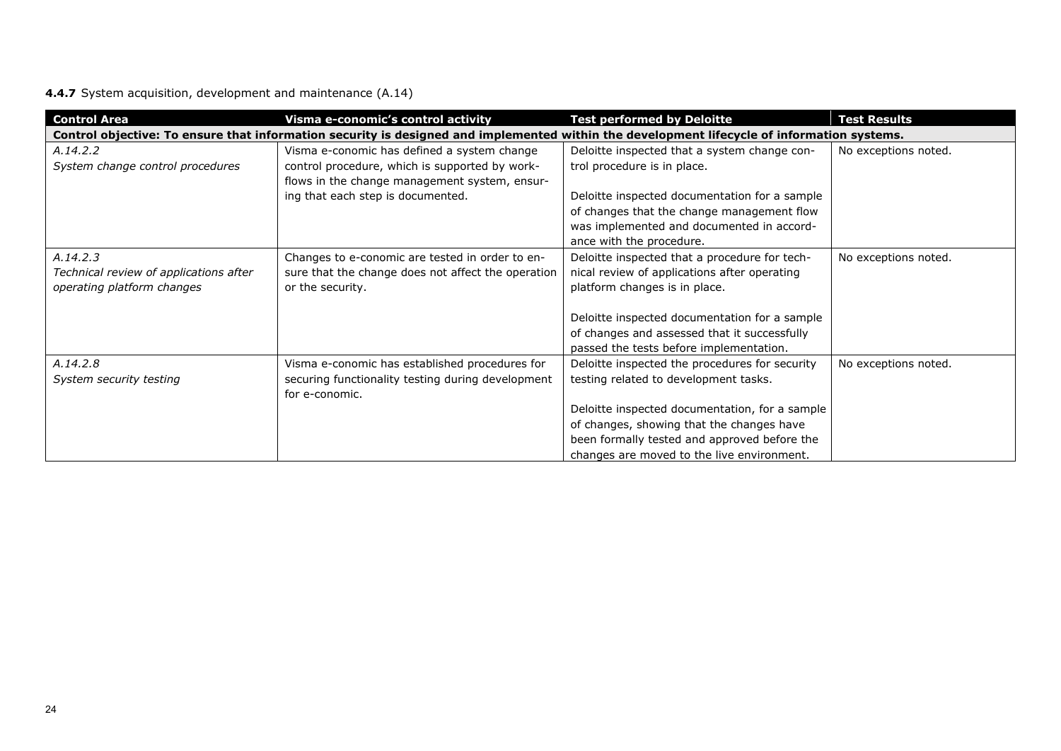# **4.4.7** System acquisition, development and maintenance (A.14)

| <b>Control Area</b>                    | Visma e-conomic's control activity                                                                                                          | <b>Test performed by Deloitte</b>              | <b>Test Results</b>  |  |  |
|----------------------------------------|---------------------------------------------------------------------------------------------------------------------------------------------|------------------------------------------------|----------------------|--|--|
|                                        | Control objective: To ensure that information security is designed and implemented within the development lifecycle of information systems. |                                                |                      |  |  |
| A.14.2.2                               | Visma e-conomic has defined a system change                                                                                                 | Deloitte inspected that a system change con-   | No exceptions noted. |  |  |
| System change control procedures       | control procedure, which is supported by work-                                                                                              | trol procedure is in place.                    |                      |  |  |
|                                        | flows in the change management system, ensur-                                                                                               |                                                |                      |  |  |
|                                        | ing that each step is documented.                                                                                                           | Deloitte inspected documentation for a sample  |                      |  |  |
|                                        |                                                                                                                                             | of changes that the change management flow     |                      |  |  |
|                                        |                                                                                                                                             | was implemented and documented in accord-      |                      |  |  |
|                                        |                                                                                                                                             | ance with the procedure.                       |                      |  |  |
| A.14.2.3                               | Changes to e-conomic are tested in order to en-                                                                                             | Deloitte inspected that a procedure for tech-  | No exceptions noted. |  |  |
| Technical review of applications after | sure that the change does not affect the operation                                                                                          | nical review of applications after operating   |                      |  |  |
| operating platform changes             | or the security.                                                                                                                            | platform changes is in place.                  |                      |  |  |
|                                        |                                                                                                                                             |                                                |                      |  |  |
|                                        |                                                                                                                                             | Deloitte inspected documentation for a sample  |                      |  |  |
|                                        |                                                                                                                                             | of changes and assessed that it successfully   |                      |  |  |
|                                        |                                                                                                                                             | passed the tests before implementation.        |                      |  |  |
| A.14.2.8                               | Visma e-conomic has established procedures for                                                                                              | Deloitte inspected the procedures for security | No exceptions noted. |  |  |
| System security testing                | securing functionality testing during development                                                                                           | testing related to development tasks.          |                      |  |  |
|                                        | for e-conomic.                                                                                                                              |                                                |                      |  |  |
|                                        |                                                                                                                                             | Deloitte inspected documentation, for a sample |                      |  |  |
|                                        |                                                                                                                                             | of changes, showing that the changes have      |                      |  |  |
|                                        |                                                                                                                                             | been formally tested and approved before the   |                      |  |  |
|                                        |                                                                                                                                             | changes are moved to the live environment.     |                      |  |  |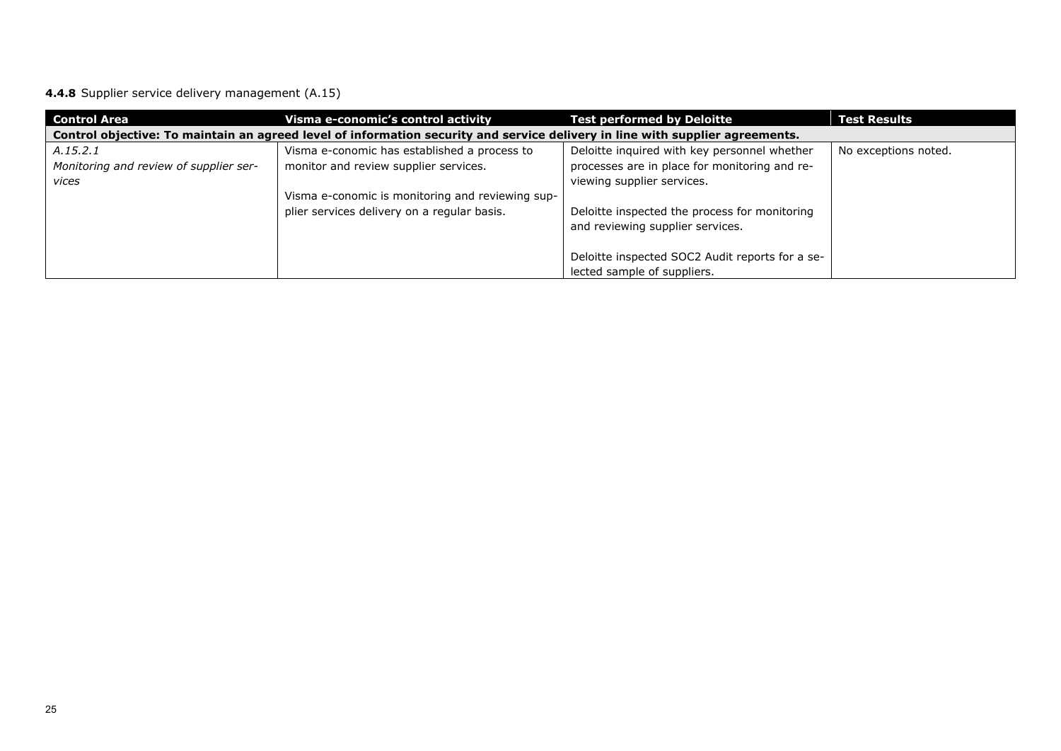**4.4.8** Supplier service delivery management (A.15)

| <b>Control Area</b>                                                                                                           | Visma e-conomic's control activity               | <b>Test performed by Deloitte</b>               | <b>Test Results</b>  |  |  |
|-------------------------------------------------------------------------------------------------------------------------------|--------------------------------------------------|-------------------------------------------------|----------------------|--|--|
| Control objective: To maintain an agreed level of information security and service delivery in line with supplier agreements. |                                                  |                                                 |                      |  |  |
| A.15.2.1                                                                                                                      | Visma e-conomic has established a process to     | Deloitte inquired with key personnel whether    | No exceptions noted. |  |  |
| Monitoring and review of supplier ser-                                                                                        | monitor and review supplier services.            | processes are in place for monitoring and re-   |                      |  |  |
| vices                                                                                                                         |                                                  | viewing supplier services.                      |                      |  |  |
|                                                                                                                               | Visma e-conomic is monitoring and reviewing sup- |                                                 |                      |  |  |
|                                                                                                                               | plier services delivery on a regular basis.      | Deloitte inspected the process for monitoring   |                      |  |  |
|                                                                                                                               |                                                  | and reviewing supplier services.                |                      |  |  |
|                                                                                                                               |                                                  |                                                 |                      |  |  |
|                                                                                                                               |                                                  | Deloitte inspected SOC2 Audit reports for a se- |                      |  |  |
|                                                                                                                               |                                                  | lected sample of suppliers.                     |                      |  |  |